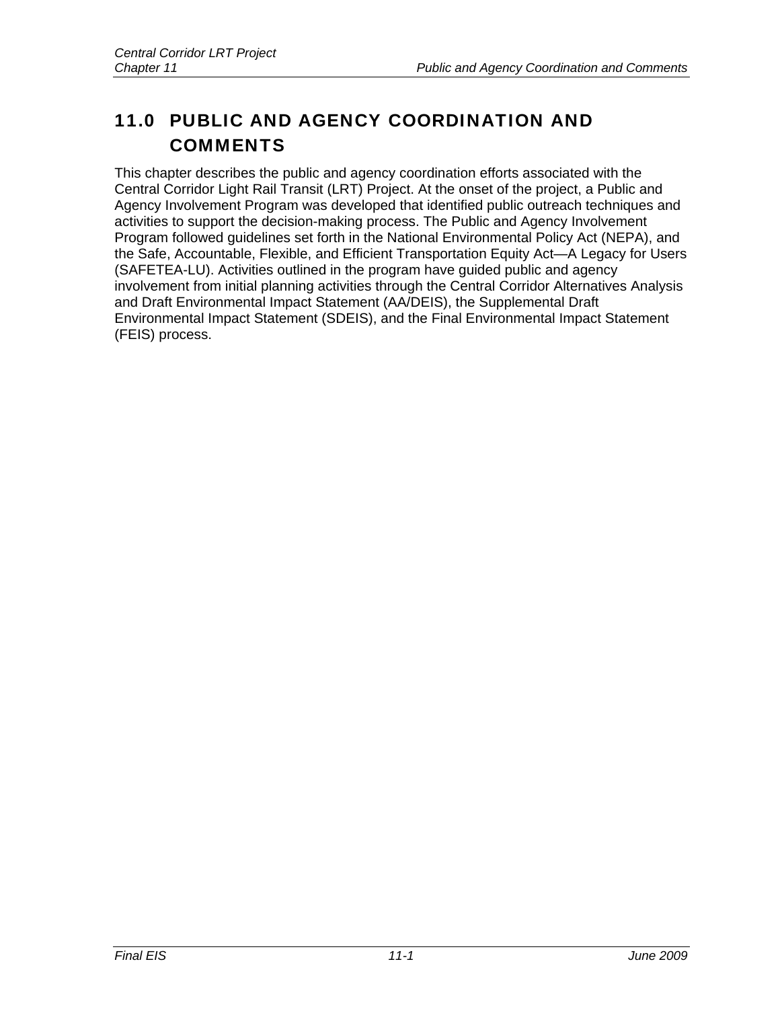# 11.0 PUBLIC AND AGENCY COORDINATION AND **COMMENTS**

This chapter describes the public and agency coordination efforts associated with the Central Corridor Light Rail Transit (LRT) Project. At the onset of the project, a Public and Agency Involvement Program was developed that identified public outreach techniques and activities to support the decision-making process. The Public and Agency Involvement Program followed guidelines set forth in the National Environmental Policy Act (NEPA), and the Safe, Accountable, Flexible, and Efficient Transportation Equity Act—A Legacy for Users (SAFETEA-LU). Activities outlined in the program have guided public and agency involvement from initial planning activities through the Central Corridor Alternatives Analysis and Draft Environmental Impact Statement (AA/DEIS), the Supplemental Draft Environmental Impact Statement (SDEIS), and the Final Environmental Impact Statement (FEIS) process.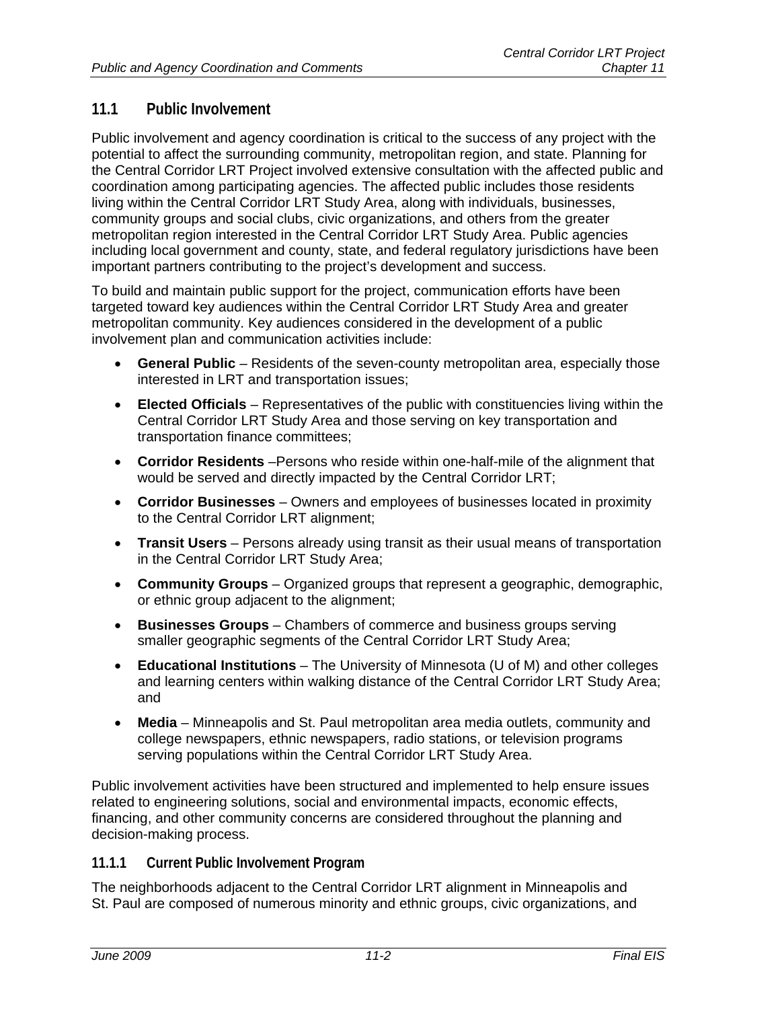# **11.1 Public Involvement**

Public involvement and agency coordination is critical to the success of any project with the potential to affect the surrounding community, metropolitan region, and state. Planning for the Central Corridor LRT Project involved extensive consultation with the affected public and coordination among participating agencies. The affected public includes those residents living within the Central Corridor LRT Study Area, along with individuals, businesses, community groups and social clubs, civic organizations, and others from the greater metropolitan region interested in the Central Corridor LRT Study Area. Public agencies including local government and county, state, and federal regulatory jurisdictions have been important partners contributing to the project's development and success.

To build and maintain public support for the project, communication efforts have been targeted toward key audiences within the Central Corridor LRT Study Area and greater metropolitan community. Key audiences considered in the development of a public involvement plan and communication activities include:

- **General Public** Residents of the seven-county metropolitan area, especially those interested in LRT and transportation issues;
- **Elected Officials** Representatives of the public with constituencies living within the Central Corridor LRT Study Area and those serving on key transportation and transportation finance committees;
- **Corridor Residents** –Persons who reside within one-half-mile of the alignment that would be served and directly impacted by the Central Corridor LRT;
- **Corridor Businesses** Owners and employees of businesses located in proximity to the Central Corridor LRT alignment;
- **Transit Users** Persons already using transit as their usual means of transportation in the Central Corridor LRT Study Area;
- **Community Groups** Organized groups that represent a geographic, demographic, or ethnic group adjacent to the alignment;
- **Businesses Groups** Chambers of commerce and business groups serving smaller geographic segments of the Central Corridor LRT Study Area;
- **Educational Institutions** The University of Minnesota (U of M) and other colleges and learning centers within walking distance of the Central Corridor LRT Study Area; and
- **Media** Minneapolis and St. Paul metropolitan area media outlets, community and college newspapers, ethnic newspapers, radio stations, or television programs serving populations within the Central Corridor LRT Study Area.

Public involvement activities have been structured and implemented to help ensure issues related to engineering solutions, social and environmental impacts, economic effects, financing, and other community concerns are considered throughout the planning and decision-making process.

# **11.1.1 Current Public Involvement Program**

The neighborhoods adjacent to the Central Corridor LRT alignment in Minneapolis and St. Paul are composed of numerous minority and ethnic groups, civic organizations, and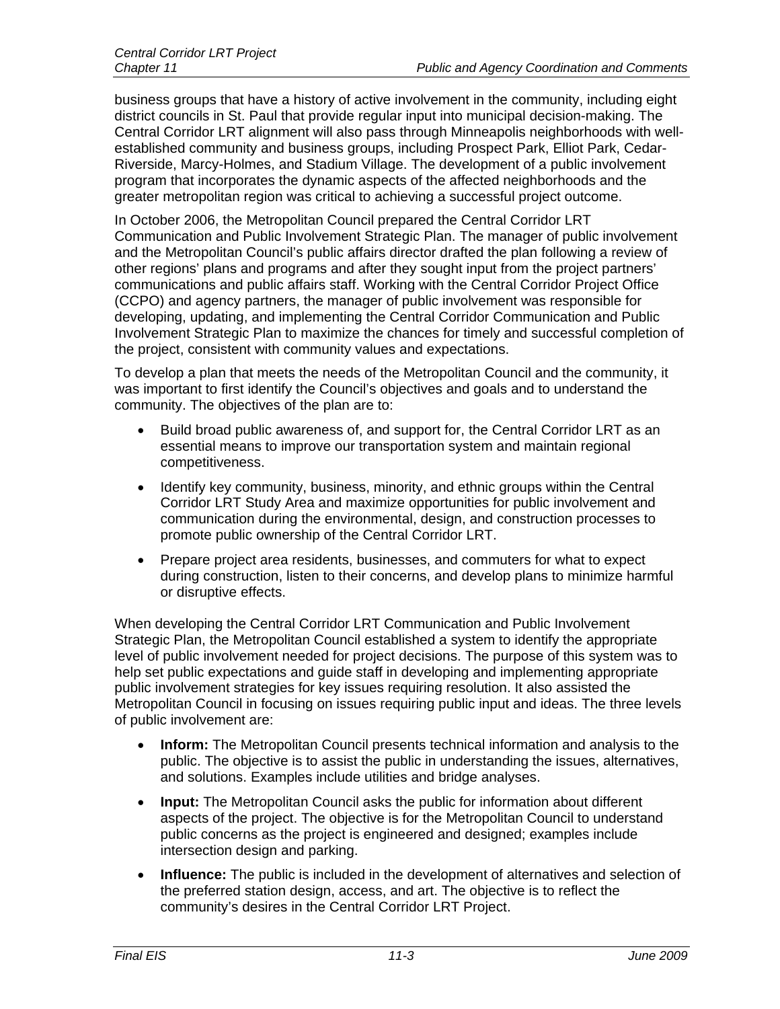business groups that have a history of active involvement in the community, including eight district councils in St. Paul that provide regular input into municipal decision-making. The Central Corridor LRT alignment will also pass through Minneapolis neighborhoods with wellestablished community and business groups, including Prospect Park, Elliot Park, Cedar-Riverside, Marcy-Holmes, and Stadium Village. The development of a public involvement program that incorporates the dynamic aspects of the affected neighborhoods and the greater metropolitan region was critical to achieving a successful project outcome.

In October 2006, the Metropolitan Council prepared the Central Corridor LRT Communication and Public Involvement Strategic Plan. The manager of public involvement and the Metropolitan Council's public affairs director drafted the plan following a review of other regions' plans and programs and after they sought input from the project partners' communications and public affairs staff. Working with the Central Corridor Project Office (CCPO) and agency partners, the manager of public involvement was responsible for developing, updating, and implementing the Central Corridor Communication and Public Involvement Strategic Plan to maximize the chances for timely and successful completion of the project, consistent with community values and expectations.

To develop a plan that meets the needs of the Metropolitan Council and the community, it was important to first identify the Council's objectives and goals and to understand the community. The objectives of the plan are to:

- Build broad public awareness of, and support for, the Central Corridor LRT as an essential means to improve our transportation system and maintain regional competitiveness.
- Identify key community, business, minority, and ethnic groups within the Central Corridor LRT Study Area and maximize opportunities for public involvement and communication during the environmental, design, and construction processes to promote public ownership of the Central Corridor LRT.
- Prepare project area residents, businesses, and commuters for what to expect during construction, listen to their concerns, and develop plans to minimize harmful or disruptive effects.

When developing the Central Corridor LRT Communication and Public Involvement Strategic Plan, the Metropolitan Council established a system to identify the appropriate level of public involvement needed for project decisions. The purpose of this system was to help set public expectations and guide staff in developing and implementing appropriate public involvement strategies for key issues requiring resolution. It also assisted the Metropolitan Council in focusing on issues requiring public input and ideas. The three levels of public involvement are:

- **Inform:** The Metropolitan Council presents technical information and analysis to the public. The objective is to assist the public in understanding the issues, alternatives, and solutions. Examples include utilities and bridge analyses.
- **Input:** The Metropolitan Council asks the public for information about different aspects of the project. The objective is for the Metropolitan Council to understand public concerns as the project is engineered and designed; examples include intersection design and parking.
- **Influence:** The public is included in the development of alternatives and selection of the preferred station design, access, and art. The objective is to reflect the community's desires in the Central Corridor LRT Project.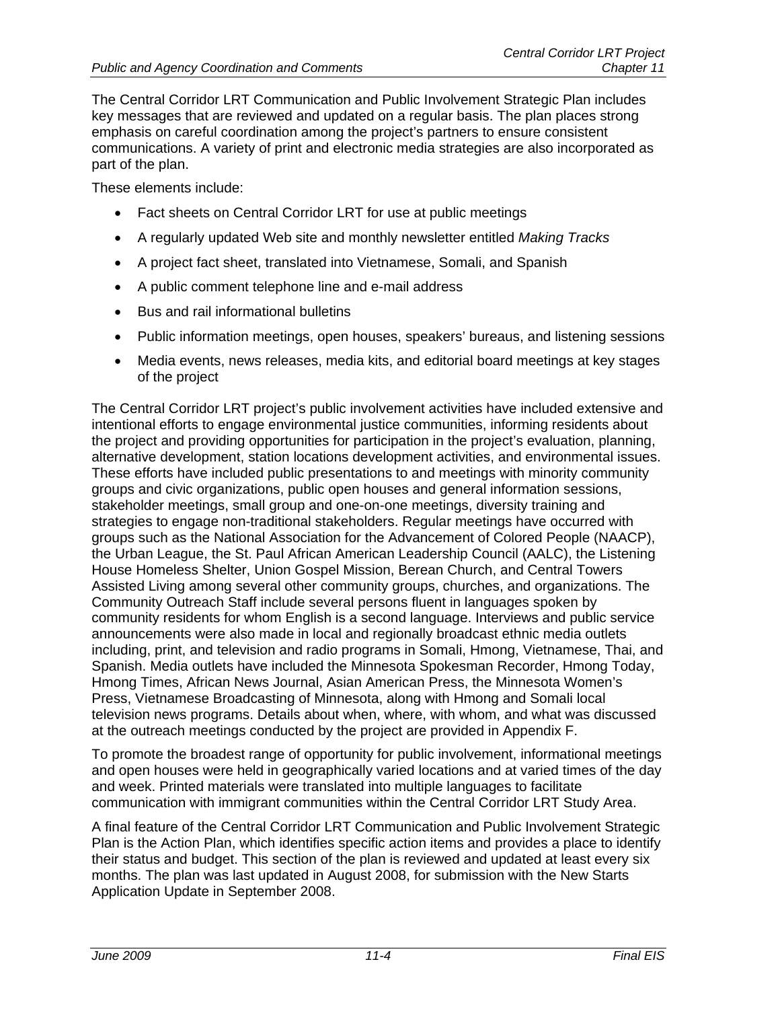The Central Corridor LRT Communication and Public Involvement Strategic Plan includes key messages that are reviewed and updated on a regular basis. The plan places strong emphasis on careful coordination among the project's partners to ensure consistent communications. A variety of print and electronic media strategies are also incorporated as part of the plan.

These elements include:

- Fact sheets on Central Corridor LRT for use at public meetings
- A regularly updated Web site and monthly newsletter entitled *Making Tracks*
- A project fact sheet, translated into Vietnamese, Somali, and Spanish
- A public comment telephone line and e-mail address
- Bus and rail informational bulletins
- Public information meetings, open houses, speakers' bureaus, and listening sessions
- Media events, news releases, media kits, and editorial board meetings at key stages of the project

The Central Corridor LRT project's public involvement activities have included extensive and intentional efforts to engage environmental justice communities, informing residents about the project and providing opportunities for participation in the project's evaluation, planning, alternative development, station locations development activities, and environmental issues. These efforts have included public presentations to and meetings with minority community groups and civic organizations, public open houses and general information sessions, stakeholder meetings, small group and one-on-one meetings, diversity training and strategies to engage non-traditional stakeholders. Regular meetings have occurred with groups such as the National Association for the Advancement of Colored People (NAACP), the Urban League, the St. Paul African American Leadership Council (AALC), the Listening House Homeless Shelter, Union Gospel Mission, Berean Church, and Central Towers Assisted Living among several other community groups, churches, and organizations. The Community Outreach Staff include several persons fluent in languages spoken by community residents for whom English is a second language. Interviews and public service announcements were also made in local and regionally broadcast ethnic media outlets including, print, and television and radio programs in Somali, Hmong, Vietnamese, Thai, and Spanish. Media outlets have included the Minnesota Spokesman Recorder, Hmong Today, Hmong Times, African News Journal, Asian American Press, the Minnesota Women's Press, Vietnamese Broadcasting of Minnesota, along with Hmong and Somali local television news programs. Details about when, where, with whom, and what was discussed at the outreach meetings conducted by the project are provided in Appendix F.

To promote the broadest range of opportunity for public involvement, informational meetings and open houses were held in geographically varied locations and at varied times of the day and week. Printed materials were translated into multiple languages to facilitate communication with immigrant communities within the Central Corridor LRT Study Area.

A final feature of the Central Corridor LRT Communication and Public Involvement Strategic Plan is the Action Plan, which identifies specific action items and provides a place to identify their status and budget. This section of the plan is reviewed and updated at least every six months. The plan was last updated in August 2008, for submission with the New Starts Application Update in September 2008.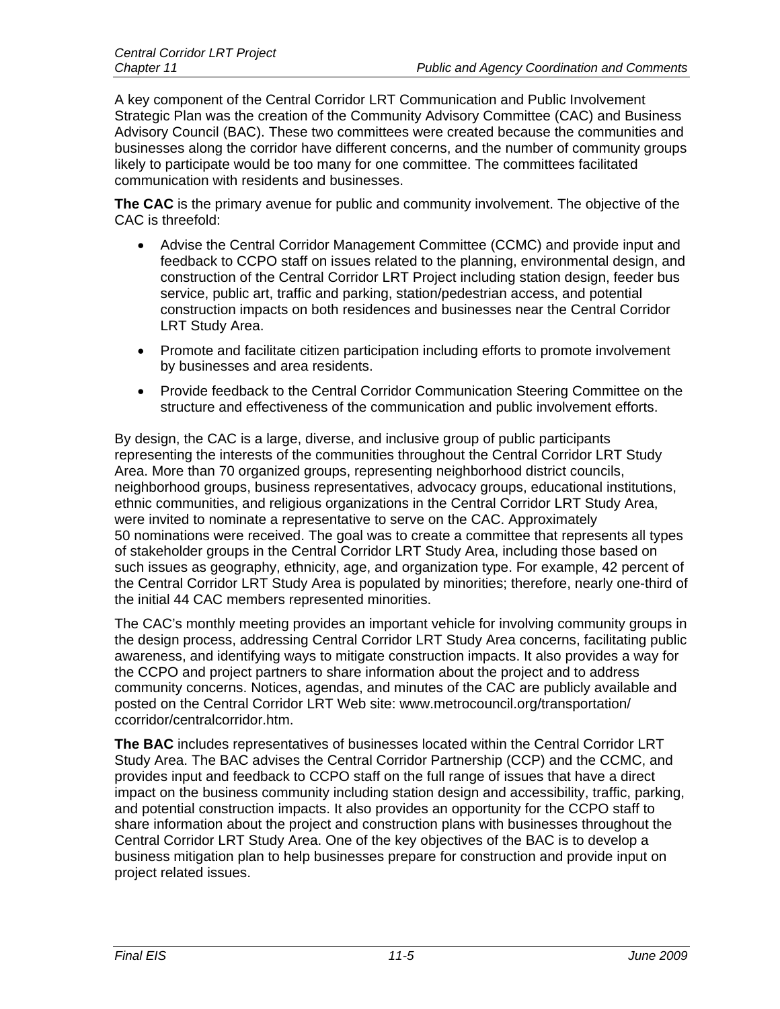A key component of the Central Corridor LRT Communication and Public Involvement Strategic Plan was the creation of the Community Advisory Committee (CAC) and Business Advisory Council (BAC). These two committees were created because the communities and businesses along the corridor have different concerns, and the number of community groups likely to participate would be too many for one committee. The committees facilitated communication with residents and businesses.

**The CAC** is the primary avenue for public and community involvement. The objective of the CAC is threefold:

- Advise the Central Corridor Management Committee (CCMC) and provide input and feedback to CCPO staff on issues related to the planning, environmental design, and construction of the Central Corridor LRT Project including station design, feeder bus service, public art, traffic and parking, station/pedestrian access, and potential construction impacts on both residences and businesses near the Central Corridor LRT Study Area.
- Promote and facilitate citizen participation including efforts to promote involvement by businesses and area residents.
- Provide feedback to the Central Corridor Communication Steering Committee on the structure and effectiveness of the communication and public involvement efforts.

By design, the CAC is a large, diverse, and inclusive group of public participants representing the interests of the communities throughout the Central Corridor LRT Study Area. More than 70 organized groups, representing neighborhood district councils, neighborhood groups, business representatives, advocacy groups, educational institutions, ethnic communities, and religious organizations in the Central Corridor LRT Study Area, were invited to nominate a representative to serve on the CAC. Approximately 50 nominations were received. The goal was to create a committee that represents all types of stakeholder groups in the Central Corridor LRT Study Area, including those based on such issues as geography, ethnicity, age, and organization type. For example, 42 percent of the Central Corridor LRT Study Area is populated by minorities; therefore, nearly one-third of the initial 44 CAC members represented minorities.

The CAC's monthly meeting provides an important vehicle for involving community groups in the design process, addressing Central Corridor LRT Study Area concerns, facilitating public awareness, and identifying ways to mitigate construction impacts. It also provides a way for the CCPO and project partners to share information about the project and to address community concerns. Notices, agendas, and minutes of the CAC are publicly available and posted on the Central Corridor LRT Web site: www.metrocouncil.org/transportation/ ccorridor/centralcorridor.htm.

**The BAC** includes representatives of businesses located within the Central Corridor LRT Study Area. The BAC advises the Central Corridor Partnership (CCP) and the CCMC, and provides input and feedback to CCPO staff on the full range of issues that have a direct impact on the business community including station design and accessibility, traffic, parking, and potential construction impacts. It also provides an opportunity for the CCPO staff to share information about the project and construction plans with businesses throughout the Central Corridor LRT Study Area. One of the key objectives of the BAC is to develop a business mitigation plan to help businesses prepare for construction and provide input on project related issues.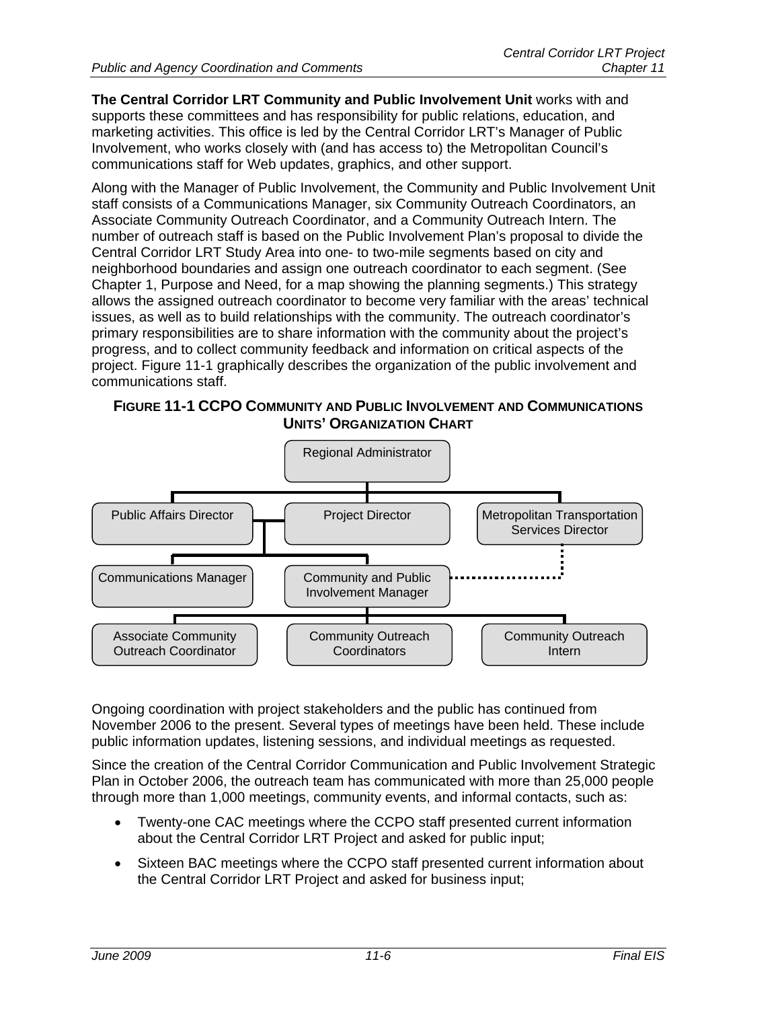**The Central Corridor LRT Community and Public Involvement Unit** works with and supports these committees and has responsibility for public relations, education, and marketing activities. This office is led by the Central Corridor LRT's Manager of Public Involvement, who works closely with (and has access to) the Metropolitan Council's communications staff for Web updates, graphics, and other support.

Along with the Manager of Public Involvement, the Community and Public Involvement Unit staff consists of a Communications Manager, six Community Outreach Coordinators, an Associate Community Outreach Coordinator, and a Community Outreach Intern. The number of outreach staff is based on the Public Involvement Plan's proposal to divide the Central Corridor LRT Study Area into one- to two-mile segments based on city and neighborhood boundaries and assign one outreach coordinator to each segment. (See Chapter 1, Purpose and Need, for a map showing the planning segments.) This strategy allows the assigned outreach coordinator to become very familiar with the areas' technical issues, as well as to build relationships with the community. The outreach coordinator's primary responsibilities are to share information with the community about the project's progress, and to collect community feedback and information on critical aspects of the project. Figure 11-1 graphically describes the organization of the public involvement and communications staff.





Ongoing coordination with project stakeholders and the public has continued from November 2006 to the present. Several types of meetings have been held. These include public information updates, listening sessions, and individual meetings as requested.

Since the creation of the Central Corridor Communication and Public Involvement Strategic Plan in October 2006, the outreach team has communicated with more than 25,000 people through more than 1,000 meetings, community events, and informal contacts, such as:

- Twenty-one CAC meetings where the CCPO staff presented current information about the Central Corridor LRT Project and asked for public input;
- Sixteen BAC meetings where the CCPO staff presented current information about the Central Corridor LRT Project and asked for business input;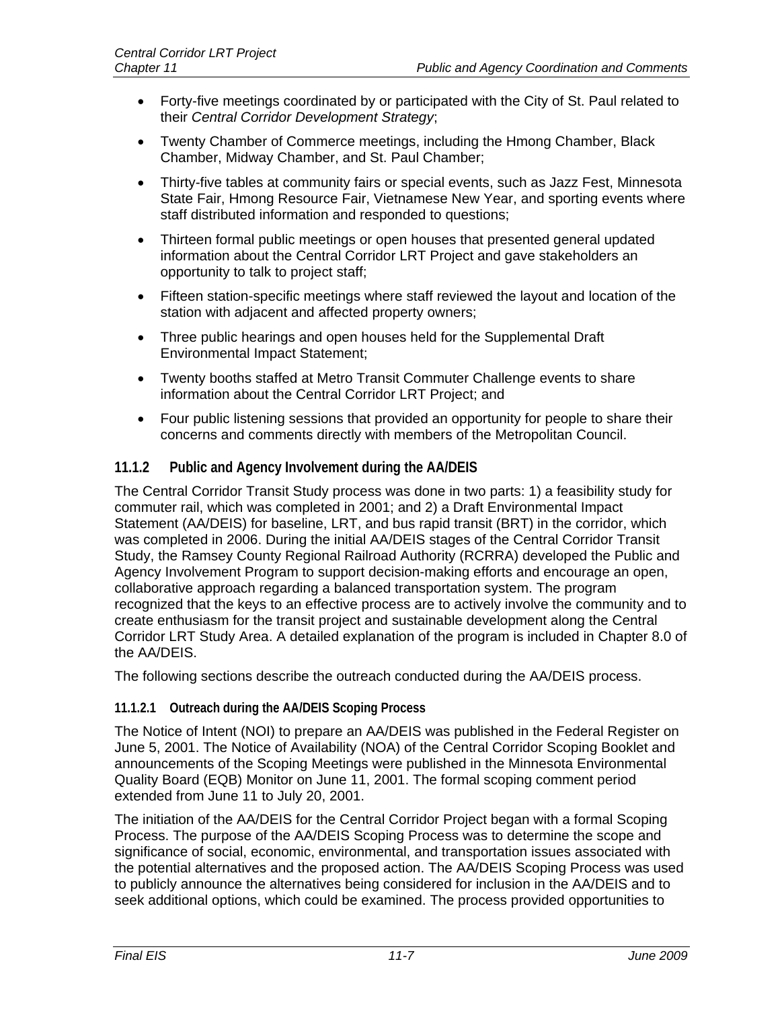- Forty-five meetings coordinated by or participated with the City of St. Paul related to their *Central Corridor Development Strategy*;
- Twenty Chamber of Commerce meetings, including the Hmong Chamber, Black Chamber, Midway Chamber, and St. Paul Chamber;
- Thirty-five tables at community fairs or special events, such as Jazz Fest, Minnesota State Fair, Hmong Resource Fair, Vietnamese New Year, and sporting events where staff distributed information and responded to questions;
- Thirteen formal public meetings or open houses that presented general updated information about the Central Corridor LRT Project and gave stakeholders an opportunity to talk to project staff;
- Fifteen station-specific meetings where staff reviewed the layout and location of the station with adjacent and affected property owners;
- Three public hearings and open houses held for the Supplemental Draft Environmental Impact Statement;
- Twenty booths staffed at Metro Transit Commuter Challenge events to share information about the Central Corridor LRT Project; and
- Four public listening sessions that provided an opportunity for people to share their concerns and comments directly with members of the Metropolitan Council.

#### **11.1.2 Public and Agency Involvement during the AA/DEIS**

The Central Corridor Transit Study process was done in two parts: 1) a feasibility study for commuter rail, which was completed in 2001; and 2) a Draft Environmental Impact Statement (AA/DEIS) for baseline, LRT, and bus rapid transit (BRT) in the corridor, which was completed in 2006. During the initial AA/DEIS stages of the Central Corridor Transit Study, the Ramsey County Regional Railroad Authority (RCRRA) developed the Public and Agency Involvement Program to support decision-making efforts and encourage an open, collaborative approach regarding a balanced transportation system. The program recognized that the keys to an effective process are to actively involve the community and to create enthusiasm for the transit project and sustainable development along the Central Corridor LRT Study Area. A detailed explanation of the program is included in Chapter 8.0 of the AA/DEIS.

The following sections describe the outreach conducted during the AA/DEIS process.

#### **11.1.2.1 Outreach during the AA/DEIS Scoping Process**

The Notice of Intent (NOI) to prepare an AA/DEIS was published in the Federal Register on June 5, 2001. The Notice of Availability (NOA) of the Central Corridor Scoping Booklet and announcements of the Scoping Meetings were published in the Minnesota Environmental Quality Board (EQB) Monitor on June 11, 2001. The formal scoping comment period extended from June 11 to July 20, 2001.

The initiation of the AA/DEIS for the Central Corridor Project began with a formal Scoping Process. The purpose of the AA/DEIS Scoping Process was to determine the scope and significance of social, economic, environmental, and transportation issues associated with the potential alternatives and the proposed action. The AA/DEIS Scoping Process was used to publicly announce the alternatives being considered for inclusion in the AA/DEIS and to seek additional options, which could be examined. The process provided opportunities to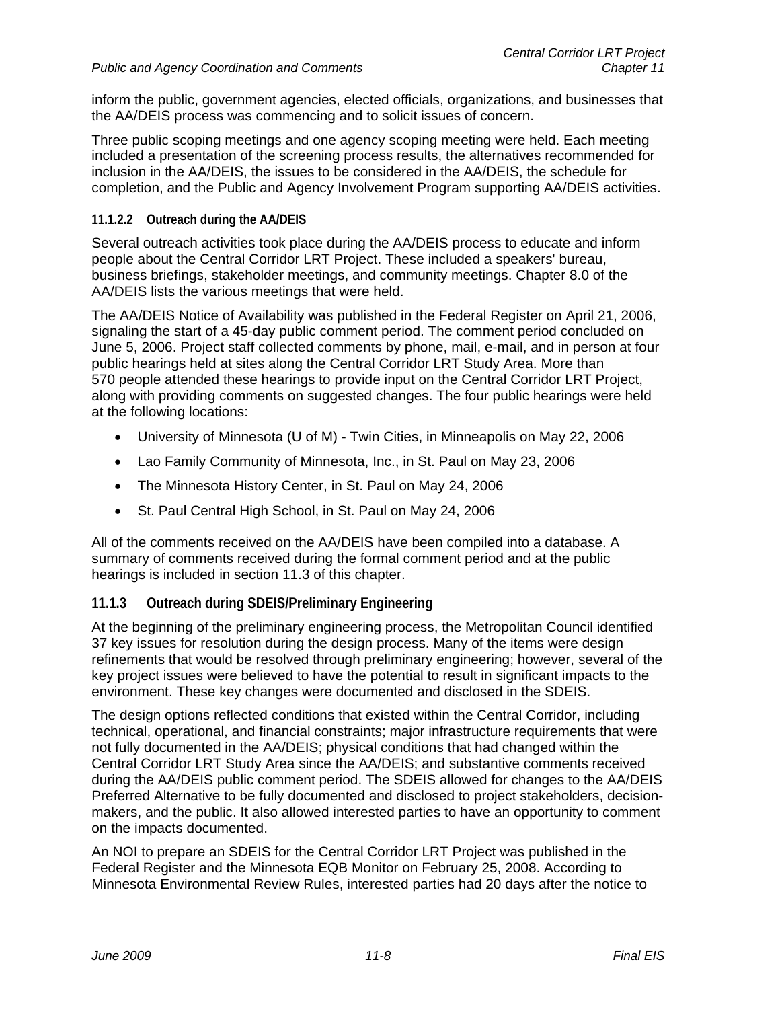inform the public, government agencies, elected officials, organizations, and businesses that the AA/DEIS process was commencing and to solicit issues of concern.

Three public scoping meetings and one agency scoping meeting were held. Each meeting included a presentation of the screening process results, the alternatives recommended for inclusion in the AA/DEIS, the issues to be considered in the AA/DEIS, the schedule for completion, and the Public and Agency Involvement Program supporting AA/DEIS activities.

#### **11.1.2.2 Outreach during the AA/DEIS**

Several outreach activities took place during the AA/DEIS process to educate and inform people about the Central Corridor LRT Project. These included a speakers' bureau, business briefings, stakeholder meetings, and community meetings. Chapter 8.0 of the AA/DEIS lists the various meetings that were held.

The AA/DEIS Notice of Availability was published in the Federal Register on April 21, 2006, signaling the start of a 45-day public comment period. The comment period concluded on June 5, 2006. Project staff collected comments by phone, mail, e-mail, and in person at four public hearings held at sites along the Central Corridor LRT Study Area. More than 570 people attended these hearings to provide input on the Central Corridor LRT Project, along with providing comments on suggested changes. The four public hearings were held at the following locations:

- University of Minnesota (U of M) Twin Cities, in Minneapolis on May 22, 2006
- Lao Family Community of Minnesota, Inc., in St. Paul on May 23, 2006
- The Minnesota History Center, in St. Paul on May 24, 2006
- St. Paul Central High School, in St. Paul on May 24, 2006

All of the comments received on the AA/DEIS have been compiled into a database. A summary of comments received during the formal comment period and at the public hearings is included in section 11.3 of this chapter.

#### **11.1.3 Outreach during SDEIS/Preliminary Engineering**

At the beginning of the preliminary engineering process, the Metropolitan Council identified 37 key issues for resolution during the design process. Many of the items were design refinements that would be resolved through preliminary engineering; however, several of the key project issues were believed to have the potential to result in significant impacts to the environment. These key changes were documented and disclosed in the SDEIS.

The design options reflected conditions that existed within the Central Corridor, including technical, operational, and financial constraints; major infrastructure requirements that were not fully documented in the AA/DEIS; physical conditions that had changed within the Central Corridor LRT Study Area since the AA/DEIS; and substantive comments received during the AA/DEIS public comment period. The SDEIS allowed for changes to the AA/DEIS Preferred Alternative to be fully documented and disclosed to project stakeholders, decisionmakers, and the public. It also allowed interested parties to have an opportunity to comment on the impacts documented.

An NOI to prepare an SDEIS for the Central Corridor LRT Project was published in the Federal Register and the Minnesota EQB Monitor on February 25, 2008. According to Minnesota Environmental Review Rules, interested parties had 20 days after the notice to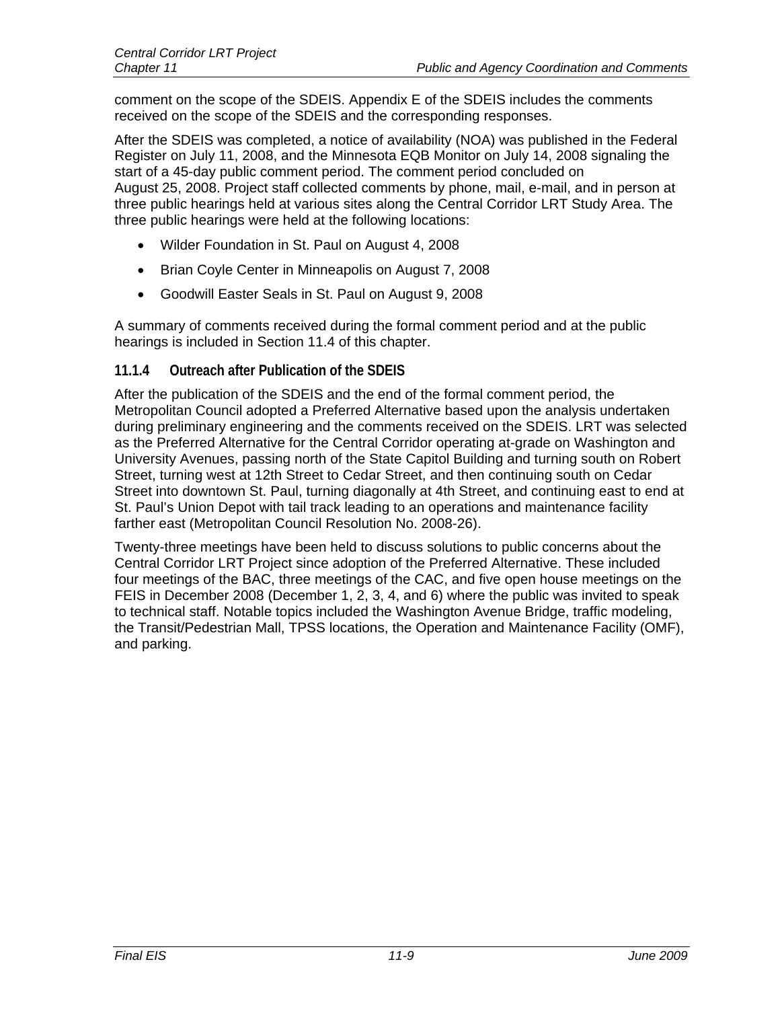comment on the scope of the SDEIS. Appendix E of the SDEIS includes the comments received on the scope of the SDEIS and the corresponding responses.

After the SDEIS was completed, a notice of availability (NOA) was published in the Federal Register on July 11, 2008, and the Minnesota EQB Monitor on July 14, 2008 signaling the start of a 45-day public comment period. The comment period concluded on August 25, 2008. Project staff collected comments by phone, mail, e-mail, and in person at three public hearings held at various sites along the Central Corridor LRT Study Area. The three public hearings were held at the following locations:

- Wilder Foundation in St. Paul on August 4, 2008
- Brian Coyle Center in Minneapolis on August 7, 2008
- Goodwill Easter Seals in St. Paul on August 9, 2008

A summary of comments received during the formal comment period and at the public hearings is included in Section 11.4 of this chapter.

#### **11.1.4 Outreach after Publication of the SDEIS**

After the publication of the SDEIS and the end of the formal comment period, the Metropolitan Council adopted a Preferred Alternative based upon the analysis undertaken during preliminary engineering and the comments received on the SDEIS. LRT was selected as the Preferred Alternative for the Central Corridor operating at-grade on Washington and University Avenues, passing north of the State Capitol Building and turning south on Robert Street, turning west at 12th Street to Cedar Street, and then continuing south on Cedar Street into downtown St. Paul, turning diagonally at 4th Street, and continuing east to end at St. Paul's Union Depot with tail track leading to an operations and maintenance facility farther east (Metropolitan Council Resolution No. 2008-26).

Twenty-three meetings have been held to discuss solutions to public concerns about the Central Corridor LRT Project since adoption of the Preferred Alternative. These included four meetings of the BAC, three meetings of the CAC, and five open house meetings on the FEIS in December 2008 (December 1, 2, 3, 4, and 6) where the public was invited to speak to technical staff. Notable topics included the Washington Avenue Bridge, traffic modeling, the Transit/Pedestrian Mall, TPSS locations, the Operation and Maintenance Facility (OMF), and parking.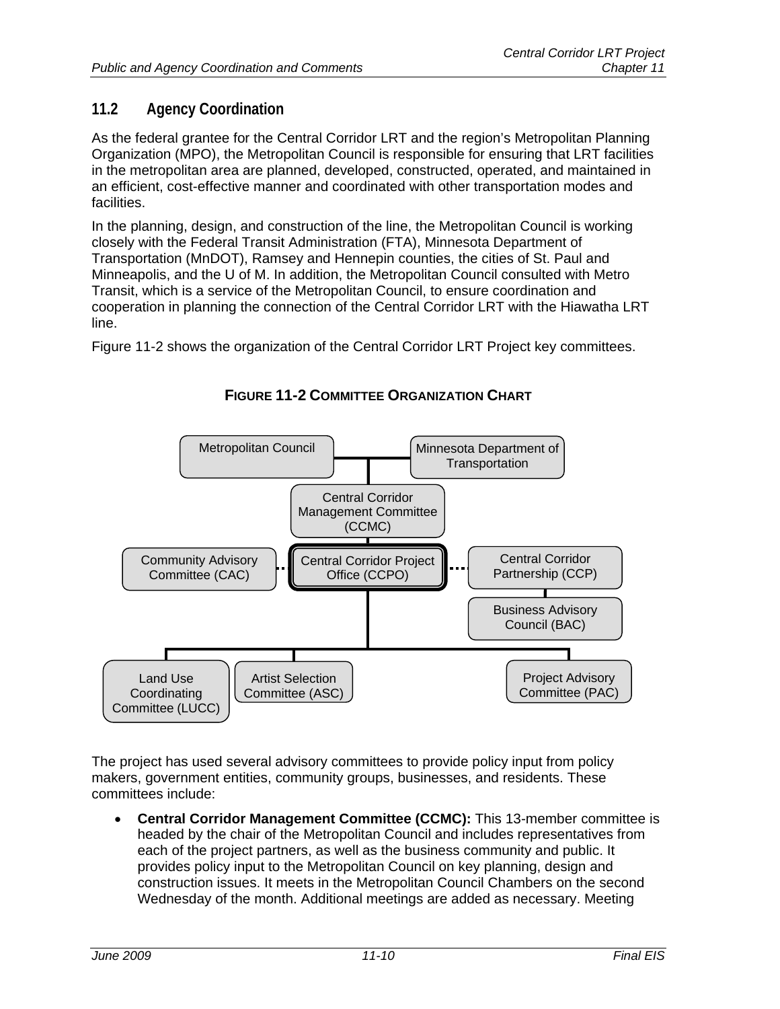# **11.2 Agency Coordination**

As the federal grantee for the Central Corridor LRT and the region's Metropolitan Planning Organization (MPO), the Metropolitan Council is responsible for ensuring that LRT facilities in the metropolitan area are planned, developed, constructed, operated, and maintained in an efficient, cost-effective manner and coordinated with other transportation modes and facilities.

In the planning, design, and construction of the line, the Metropolitan Council is working closely with the Federal Transit Administration (FTA), Minnesota Department of Transportation (MnDOT), Ramsey and Hennepin counties, the cities of St. Paul and Minneapolis, and the U of M. In addition, the Metropolitan Council consulted with Metro Transit, which is a service of the Metropolitan Council, to ensure coordination and cooperation in planning the connection of the Central Corridor LRT with the Hiawatha LRT line.

Figure 11-2 shows the organization of the Central Corridor LRT Project key committees.



**FIGURE 11-2 COMMITTEE ORGANIZATION CHART**

The project has used several advisory committees to provide policy input from policy makers, government entities, community groups, businesses, and residents. These committees include:

 **Central Corridor Management Committee (CCMC):** This 13-member committee is headed by the chair of the Metropolitan Council and includes representatives from each of the project partners, as well as the business community and public. It provides policy input to the Metropolitan Council on key planning, design and construction issues. It meets in the Metropolitan Council Chambers on the second Wednesday of the month. Additional meetings are added as necessary. Meeting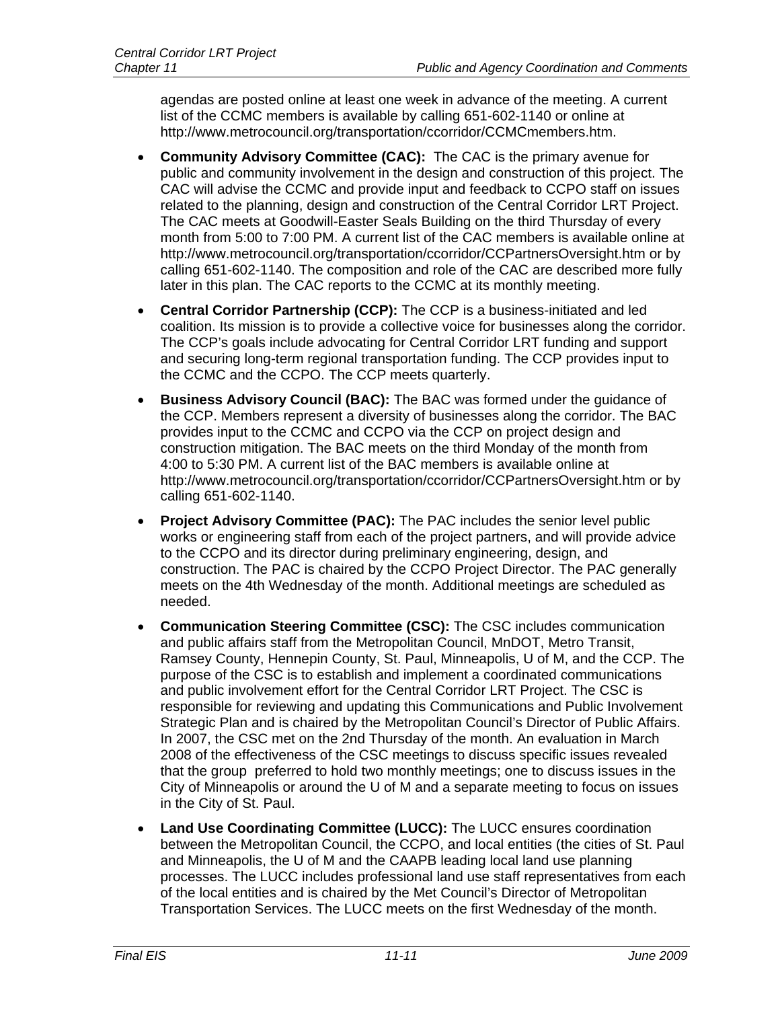agendas are posted online at least one week in advance of the meeting. A current list of the CCMC members is available by calling 651-602-1140 or online at http://www.metrocouncil.org/transportation/ccorridor/CCMCmembers.htm.

- **Community Advisory Committee (CAC):** The CAC is the primary avenue for public and community involvement in the design and construction of this project. The CAC will advise the CCMC and provide input and feedback to CCPO staff on issues related to the planning, design and construction of the Central Corridor LRT Project. The CAC meets at Goodwill-Easter Seals Building on the third Thursday of every month from 5:00 to 7:00 PM. A current list of the CAC members is available online at http://www.metrocouncil.org/transportation/ccorridor/CCPartnersOversight.htm or by calling 651-602-1140. The composition and role of the CAC are described more fully later in this plan. The CAC reports to the CCMC at its monthly meeting.
- **Central Corridor Partnership (CCP):** The CCP is a business-initiated and led coalition. Its mission is to provide a collective voice for businesses along the corridor. The CCP's goals include advocating for Central Corridor LRT funding and support and securing long-term regional transportation funding. The CCP provides input to the CCMC and the CCPO. The CCP meets quarterly.
- **Business Advisory Council (BAC):** The BAC was formed under the guidance of the CCP. Members represent a diversity of businesses along the corridor. The BAC provides input to the CCMC and CCPO via the CCP on project design and construction mitigation. The BAC meets on the third Monday of the month from 4:00 to 5:30 PM. A current list of the BAC members is available online at http://www.metrocouncil.org/transportation/ccorridor/CCPartnersOversight.htm or by calling 651-602-1140.
- **Project Advisory Committee (PAC):** The PAC includes the senior level public works or engineering staff from each of the project partners, and will provide advice to the CCPO and its director during preliminary engineering, design, and construction. The PAC is chaired by the CCPO Project Director. The PAC generally meets on the 4th Wednesday of the month. Additional meetings are scheduled as needed.
- **Communication Steering Committee (CSC):** The CSC includes communication and public affairs staff from the Metropolitan Council, MnDOT, Metro Transit, Ramsey County, Hennepin County, St. Paul, Minneapolis, U of M, and the CCP. The purpose of the CSC is to establish and implement a coordinated communications and public involvement effort for the Central Corridor LRT Project. The CSC is responsible for reviewing and updating this Communications and Public Involvement Strategic Plan and is chaired by the Metropolitan Council's Director of Public Affairs. In 2007, the CSC met on the 2nd Thursday of the month. An evaluation in March 2008 of the effectiveness of the CSC meetings to discuss specific issues revealed that the group preferred to hold two monthly meetings; one to discuss issues in the City of Minneapolis or around the U of M and a separate meeting to focus on issues in the City of St. Paul.
- **Land Use Coordinating Committee (LUCC):** The LUCC ensures coordination between the Metropolitan Council, the CCPO, and local entities (the cities of St. Paul and Minneapolis, the U of M and the CAAPB leading local land use planning processes. The LUCC includes professional land use staff representatives from each of the local entities and is chaired by the Met Council's Director of Metropolitan Transportation Services. The LUCC meets on the first Wednesday of the month.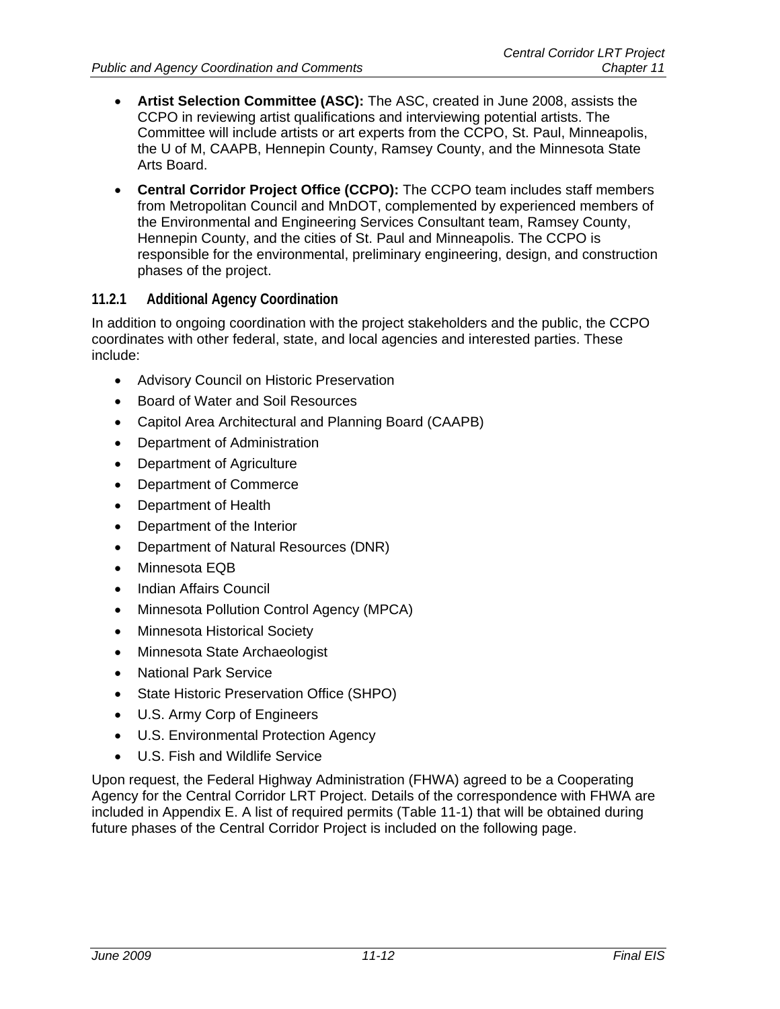- **Artist Selection Committee (ASC):** The ASC, created in June 2008, assists the CCPO in reviewing artist qualifications and interviewing potential artists. The Committee will include artists or art experts from the CCPO, St. Paul, Minneapolis, the U of M, CAAPB, Hennepin County, Ramsey County, and the Minnesota State Arts Board.
- **Central Corridor Project Office (CCPO):** The CCPO team includes staff members from Metropolitan Council and MnDOT, complemented by experienced members of the Environmental and Engineering Services Consultant team, Ramsey County, Hennepin County, and the cities of St. Paul and Minneapolis. The CCPO is responsible for the environmental, preliminary engineering, design, and construction phases of the project.

# **11.2.1 Additional Agency Coordination**

In addition to ongoing coordination with the project stakeholders and the public, the CCPO coordinates with other federal, state, and local agencies and interested parties. These include:

- Advisory Council on Historic Preservation
- Board of Water and Soil Resources
- Capitol Area Architectural and Planning Board (CAAPB)
- Department of Administration
- Department of Agriculture
- Department of Commerce
- Department of Health
- Department of the Interior
- Department of Natural Resources (DNR)
- Minnesota EQB
- Indian Affairs Council
- Minnesota Pollution Control Agency (MPCA)
- Minnesota Historical Society
- Minnesota State Archaeologist
- National Park Service
- State Historic Preservation Office (SHPO)
- U.S. Army Corp of Engineers
- U.S. Environmental Protection Agency
- U.S. Fish and Wildlife Service

Upon request, the Federal Highway Administration (FHWA) agreed to be a Cooperating Agency for the Central Corridor LRT Project. Details of the correspondence with FHWA are included in Appendix E. A list of required permits (Table 11-1) that will be obtained during future phases of the Central Corridor Project is included on the following page.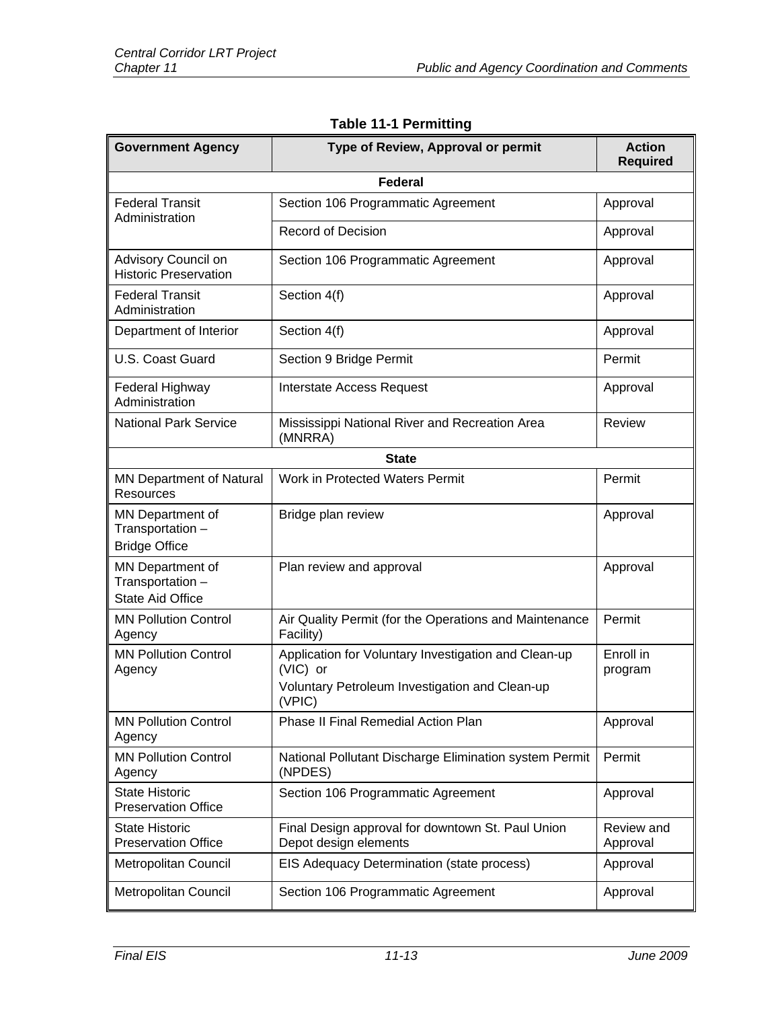| <b>Government Agency</b>                                        | Type of Review, Approval or permit                                                                                           | <b>Action</b><br><b>Required</b> |  |
|-----------------------------------------------------------------|------------------------------------------------------------------------------------------------------------------------------|----------------------------------|--|
|                                                                 | <b>Federal</b>                                                                                                               |                                  |  |
| <b>Federal Transit</b><br>Administration                        | Section 106 Programmatic Agreement                                                                                           | Approval                         |  |
|                                                                 | <b>Record of Decision</b>                                                                                                    | Approval                         |  |
| Advisory Council on<br><b>Historic Preservation</b>             | Section 106 Programmatic Agreement                                                                                           | Approval                         |  |
| <b>Federal Transit</b><br>Administration                        | Section 4(f)                                                                                                                 | Approval                         |  |
| Department of Interior                                          | Section 4(f)                                                                                                                 | Approval                         |  |
| U.S. Coast Guard                                                | Section 9 Bridge Permit                                                                                                      | Permit                           |  |
| Federal Highway<br>Administration                               | Interstate Access Request                                                                                                    | Approval                         |  |
| <b>National Park Service</b>                                    | Mississippi National River and Recreation Area<br>(MNRRA)                                                                    | <b>Review</b>                    |  |
| <b>State</b>                                                    |                                                                                                                              |                                  |  |
| <b>MN Department of Natural</b><br><b>Resources</b>             | Work in Protected Waters Permit                                                                                              | Permit                           |  |
| MN Department of<br>Transportation -<br><b>Bridge Office</b>    | Bridge plan review                                                                                                           | Approval                         |  |
| MN Department of<br>Transportation -<br><b>State Aid Office</b> | Plan review and approval                                                                                                     | Approval                         |  |
| <b>MN Pollution Control</b><br>Agency                           | Air Quality Permit (for the Operations and Maintenance<br>Facility)                                                          | Permit                           |  |
| <b>MN Pollution Control</b><br>Agency                           | Application for Voluntary Investigation and Clean-up<br>(VIC) or<br>Voluntary Petroleum Investigation and Clean-up<br>(VPIC) | Enroll in<br>program             |  |
| <b>MN Pollution Control</b><br>Agency                           | <b>Phase II Final Remedial Action Plan</b>                                                                                   | Approval                         |  |
| <b>MN Pollution Control</b><br>Agency                           | National Pollutant Discharge Elimination system Permit<br>(NPDES)                                                            | Permit                           |  |
| <b>State Historic</b><br><b>Preservation Office</b>             | Section 106 Programmatic Agreement                                                                                           | Approval                         |  |
| <b>State Historic</b><br><b>Preservation Office</b>             | Final Design approval for downtown St. Paul Union<br>Depot design elements                                                   | Review and<br>Approval           |  |
| Metropolitan Council                                            | EIS Adequacy Determination (state process)                                                                                   | Approval                         |  |
| Metropolitan Council                                            | Section 106 Programmatic Agreement                                                                                           | Approval                         |  |

# **Table 11-1 Permitting**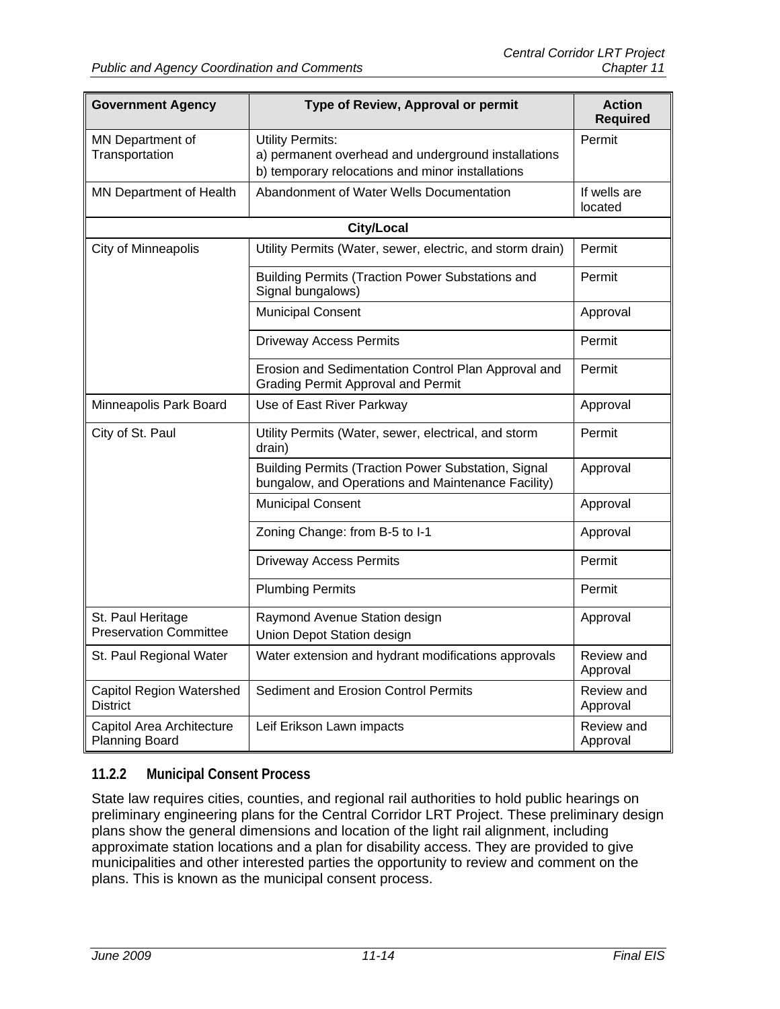| <b>Government Agency</b>                           | Type of Review, Approval or permit                                                                                                 | <b>Action</b><br><b>Required</b> |  |
|----------------------------------------------------|------------------------------------------------------------------------------------------------------------------------------------|----------------------------------|--|
| MN Department of<br>Transportation                 | <b>Utility Permits:</b><br>a) permanent overhead and underground installations<br>b) temporary relocations and minor installations | Permit                           |  |
| MN Department of Health                            | Abandonment of Water Wells Documentation                                                                                           | If wells are<br>located          |  |
| <b>City/Local</b>                                  |                                                                                                                                    |                                  |  |
| City of Minneapolis                                | Utility Permits (Water, sewer, electric, and storm drain)                                                                          | Permit                           |  |
|                                                    | <b>Building Permits (Traction Power Substations and</b><br>Signal bungalows)                                                       | Permit                           |  |
|                                                    | <b>Municipal Consent</b>                                                                                                           | Approval                         |  |
|                                                    | <b>Driveway Access Permits</b>                                                                                                     | Permit                           |  |
|                                                    | Erosion and Sedimentation Control Plan Approval and<br><b>Grading Permit Approval and Permit</b>                                   | Permit                           |  |
| Minneapolis Park Board                             | Use of East River Parkway                                                                                                          | Approval                         |  |
| City of St. Paul                                   | Utility Permits (Water, sewer, electrical, and storm<br>drain)                                                                     | Permit                           |  |
|                                                    | Building Permits (Traction Power Substation, Signal<br>bungalow, and Operations and Maintenance Facility)                          | Approval                         |  |
|                                                    | <b>Municipal Consent</b>                                                                                                           | Approval                         |  |
|                                                    | Zoning Change: from B-5 to I-1                                                                                                     | Approval                         |  |
|                                                    | <b>Driveway Access Permits</b>                                                                                                     | Permit                           |  |
|                                                    | <b>Plumbing Permits</b>                                                                                                            | Permit                           |  |
| St. Paul Heritage<br><b>Preservation Committee</b> | Raymond Avenue Station design<br>Union Depot Station design                                                                        | Approval                         |  |
| St. Paul Regional Water                            | Water extension and hydrant modifications approvals                                                                                | Review and<br>Approval           |  |
| <b>Capitol Region Watershed</b><br><b>District</b> | <b>Sediment and Erosion Control Permits</b>                                                                                        | Review and<br>Approval           |  |
| Capitol Area Architecture<br><b>Planning Board</b> | Leif Erikson Lawn impacts                                                                                                          | Review and<br>Approval           |  |

# **11.2.2 Municipal Consent Process**

State law requires cities, counties, and regional rail authorities to hold public hearings on preliminary engineering plans for the Central Corridor LRT Project. These preliminary design plans show the general dimensions and location of the light rail alignment, including approximate station locations and a plan for disability access. They are provided to give municipalities and other interested parties the opportunity to review and comment on the plans. This is known as the municipal consent process.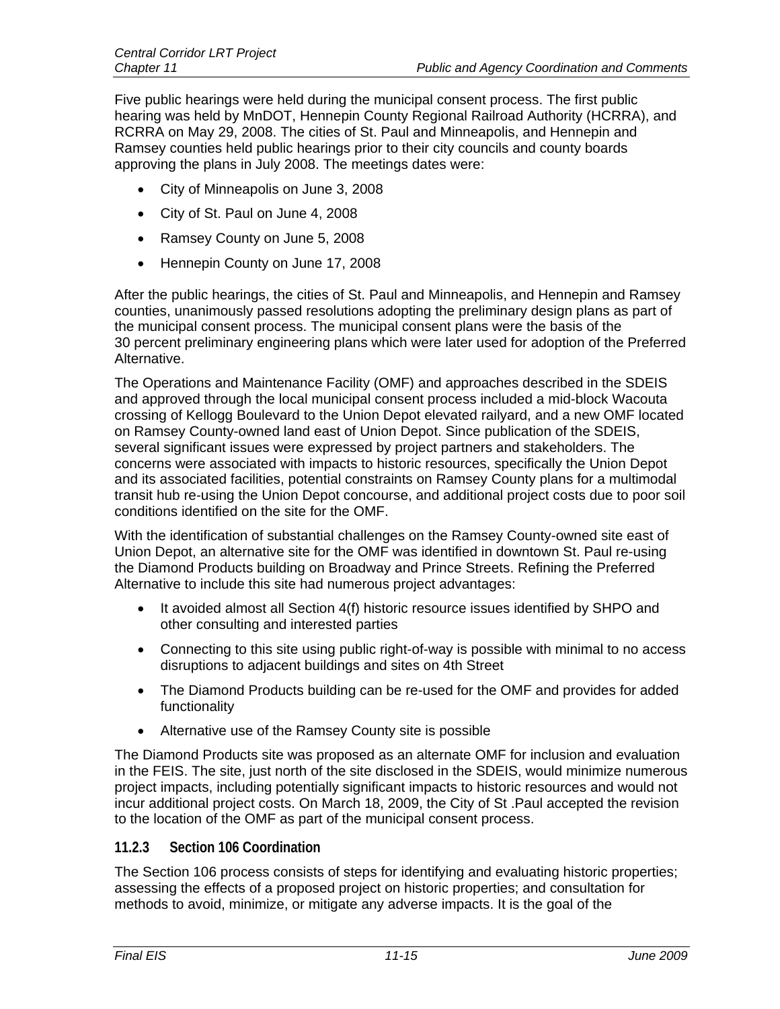Five public hearings were held during the municipal consent process. The first public hearing was held by MnDOT, Hennepin County Regional Railroad Authority (HCRRA), and RCRRA on May 29, 2008. The cities of St. Paul and Minneapolis, and Hennepin and Ramsey counties held public hearings prior to their city councils and county boards approving the plans in July 2008. The meetings dates were:

- City of Minneapolis on June 3, 2008
- City of St. Paul on June 4, 2008
- Ramsey County on June 5, 2008
- Hennepin County on June 17, 2008

After the public hearings, the cities of St. Paul and Minneapolis, and Hennepin and Ramsey counties, unanimously passed resolutions adopting the preliminary design plans as part of the municipal consent process. The municipal consent plans were the basis of the 30 percent preliminary engineering plans which were later used for adoption of the Preferred Alternative.

The Operations and Maintenance Facility (OMF) and approaches described in the SDEIS and approved through the local municipal consent process included a mid-block Wacouta crossing of Kellogg Boulevard to the Union Depot elevated railyard, and a new OMF located on Ramsey County-owned land east of Union Depot. Since publication of the SDEIS, several significant issues were expressed by project partners and stakeholders. The concerns were associated with impacts to historic resources, specifically the Union Depot and its associated facilities, potential constraints on Ramsey County plans for a multimodal transit hub re-using the Union Depot concourse, and additional project costs due to poor soil conditions identified on the site for the OMF.

With the identification of substantial challenges on the Ramsey County-owned site east of Union Depot, an alternative site for the OMF was identified in downtown St. Paul re-using the Diamond Products building on Broadway and Prince Streets. Refining the Preferred Alternative to include this site had numerous project advantages:

- It avoided almost all Section 4(f) historic resource issues identified by SHPO and other consulting and interested parties
- Connecting to this site using public right-of-way is possible with minimal to no access disruptions to adjacent buildings and sites on 4th Street
- The Diamond Products building can be re-used for the OMF and provides for added functionality
- Alternative use of the Ramsey County site is possible

The Diamond Products site was proposed as an alternate OMF for inclusion and evaluation in the FEIS. The site, just north of the site disclosed in the SDEIS, would minimize numerous project impacts, including potentially significant impacts to historic resources and would not incur additional project costs. On March 18, 2009, the City of St .Paul accepted the revision to the location of the OMF as part of the municipal consent process.

#### **11.2.3 Section 106 Coordination**

The Section 106 process consists of steps for identifying and evaluating historic properties; assessing the effects of a proposed project on historic properties; and consultation for methods to avoid, minimize, or mitigate any adverse impacts. It is the goal of the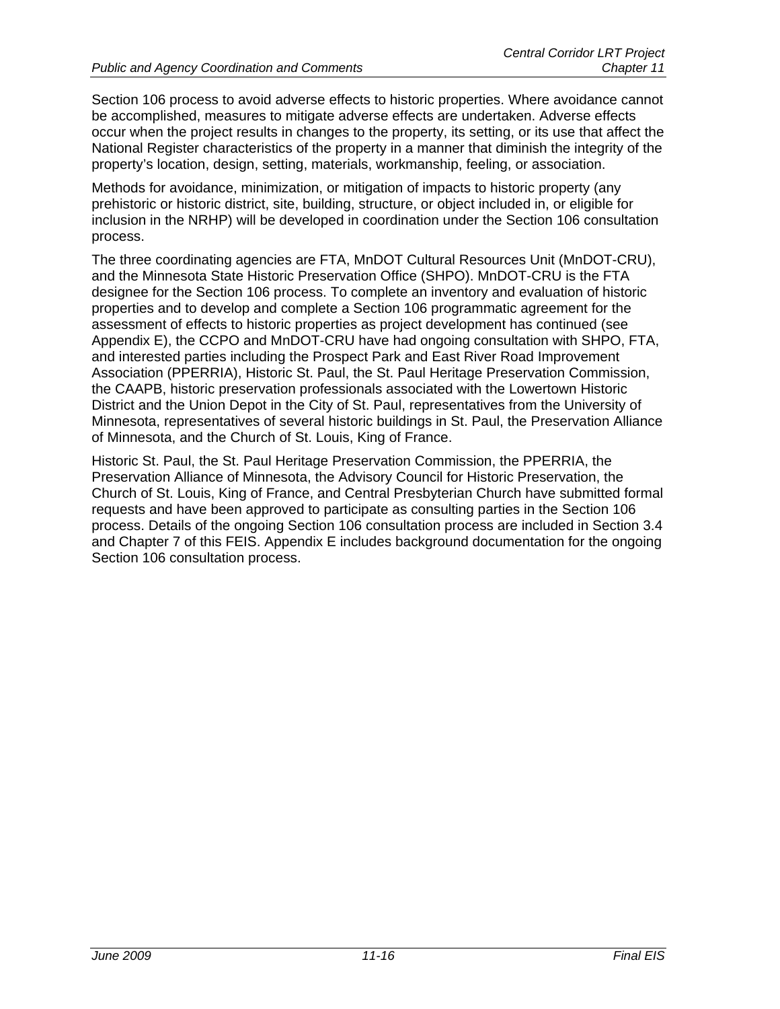Section 106 process to avoid adverse effects to historic properties. Where avoidance cannot be accomplished, measures to mitigate adverse effects are undertaken. Adverse effects occur when the project results in changes to the property, its setting, or its use that affect the National Register characteristics of the property in a manner that diminish the integrity of the property's location, design, setting, materials, workmanship, feeling, or association.

Methods for avoidance, minimization, or mitigation of impacts to historic property (any prehistoric or historic district, site, building, structure, or object included in, or eligible for inclusion in the NRHP) will be developed in coordination under the Section 106 consultation process.

The three coordinating agencies are FTA, MnDOT Cultural Resources Unit (MnDOT-CRU), and the Minnesota State Historic Preservation Office (SHPO). MnDOT-CRU is the FTA designee for the Section 106 process. To complete an inventory and evaluation of historic properties and to develop and complete a Section 106 programmatic agreement for the assessment of effects to historic properties as project development has continued (see Appendix E), the CCPO and MnDOT-CRU have had ongoing consultation with SHPO, FTA, and interested parties including the Prospect Park and East River Road Improvement Association (PPERRIA), Historic St. Paul, the St. Paul Heritage Preservation Commission, the CAAPB, historic preservation professionals associated with the Lowertown Historic District and the Union Depot in the City of St. Paul, representatives from the University of Minnesota, representatives of several historic buildings in St. Paul, the Preservation Alliance of Minnesota, and the Church of St. Louis, King of France.

Historic St. Paul, the St. Paul Heritage Preservation Commission, the PPERRIA, the Preservation Alliance of Minnesota, the Advisory Council for Historic Preservation, the Church of St. Louis, King of France, and Central Presbyterian Church have submitted formal requests and have been approved to participate as consulting parties in the Section 106 process. Details of the ongoing Section 106 consultation process are included in Section 3.4 and Chapter 7 of this FEIS. Appendix E includes background documentation for the ongoing Section 106 consultation process.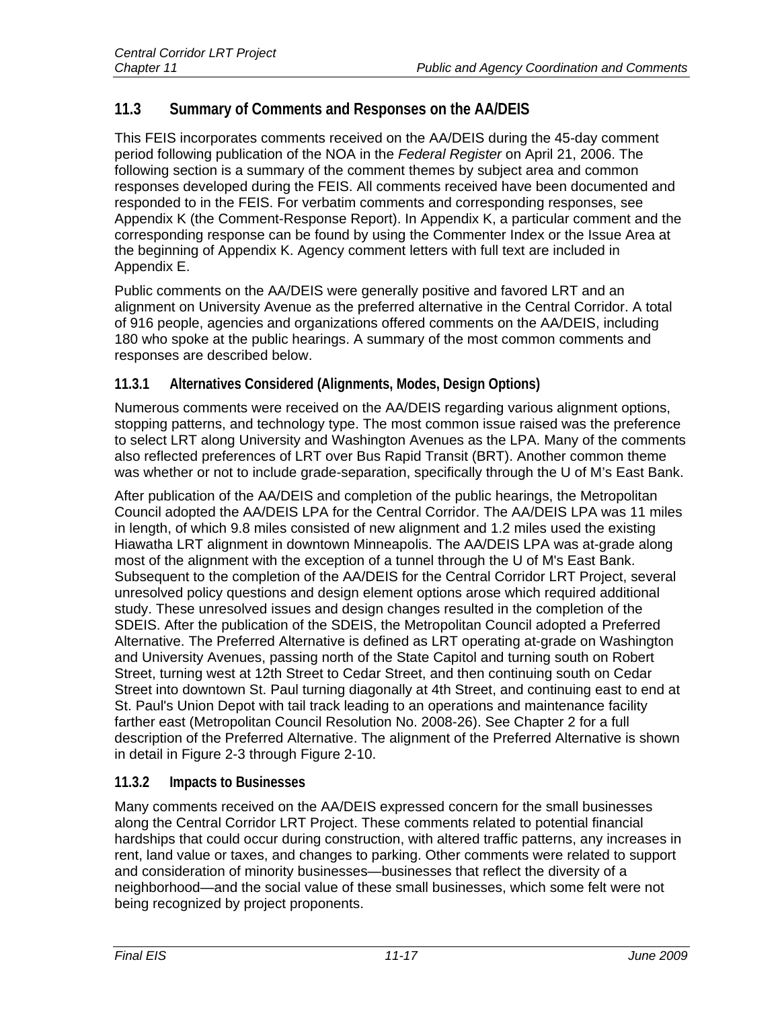# **11.3 Summary of Comments and Responses on the AA/DEIS**

This FEIS incorporates comments received on the AA/DEIS during the 45-day comment period following publication of the NOA in the *Federal Register* on April 21, 2006. The following section is a summary of the comment themes by subject area and common responses developed during the FEIS. All comments received have been documented and responded to in the FEIS. For verbatim comments and corresponding responses, see Appendix K (the Comment-Response Report). In Appendix K, a particular comment and the corresponding response can be found by using the Commenter Index or the Issue Area at the beginning of Appendix K. Agency comment letters with full text are included in Appendix E.

Public comments on the AA/DEIS were generally positive and favored LRT and an alignment on University Avenue as the preferred alternative in the Central Corridor. A total of 916 people, agencies and organizations offered comments on the AA/DEIS, including 180 who spoke at the public hearings. A summary of the most common comments and responses are described below.

# **11.3.1 Alternatives Considered (Alignments, Modes, Design Options)**

Numerous comments were received on the AA/DEIS regarding various alignment options, stopping patterns, and technology type. The most common issue raised was the preference to select LRT along University and Washington Avenues as the LPA. Many of the comments also reflected preferences of LRT over Bus Rapid Transit (BRT). Another common theme was whether or not to include grade-separation, specifically through the U of M's East Bank.

After publication of the AA/DEIS and completion of the public hearings, the Metropolitan Council adopted the AA/DEIS LPA for the Central Corridor. The AA/DEIS LPA was 11 miles in length, of which 9.8 miles consisted of new alignment and 1.2 miles used the existing Hiawatha LRT alignment in downtown Minneapolis. The AA/DEIS LPA was at-grade along most of the alignment with the exception of a tunnel through the U of M's East Bank. Subsequent to the completion of the AA/DEIS for the Central Corridor LRT Project, several unresolved policy questions and design element options arose which required additional study. These unresolved issues and design changes resulted in the completion of the SDEIS. After the publication of the SDEIS, the Metropolitan Council adopted a Preferred Alternative. The Preferred Alternative is defined as LRT operating at-grade on Washington and University Avenues, passing north of the State Capitol and turning south on Robert Street, turning west at 12th Street to Cedar Street, and then continuing south on Cedar Street into downtown St. Paul turning diagonally at 4th Street, and continuing east to end at St. Paul's Union Depot with tail track leading to an operations and maintenance facility farther east (Metropolitan Council Resolution No. 2008-26). See Chapter 2 for a full description of the Preferred Alternative. The alignment of the Preferred Alternative is shown in detail in Figure 2-3 through Figure 2-10.

# **11.3.2 Impacts to Businesses**

Many comments received on the AA/DEIS expressed concern for the small businesses along the Central Corridor LRT Project. These comments related to potential financial hardships that could occur during construction, with altered traffic patterns, any increases in rent, land value or taxes, and changes to parking. Other comments were related to support and consideration of minority businesses—businesses that reflect the diversity of a neighborhood—and the social value of these small businesses, which some felt were not being recognized by project proponents.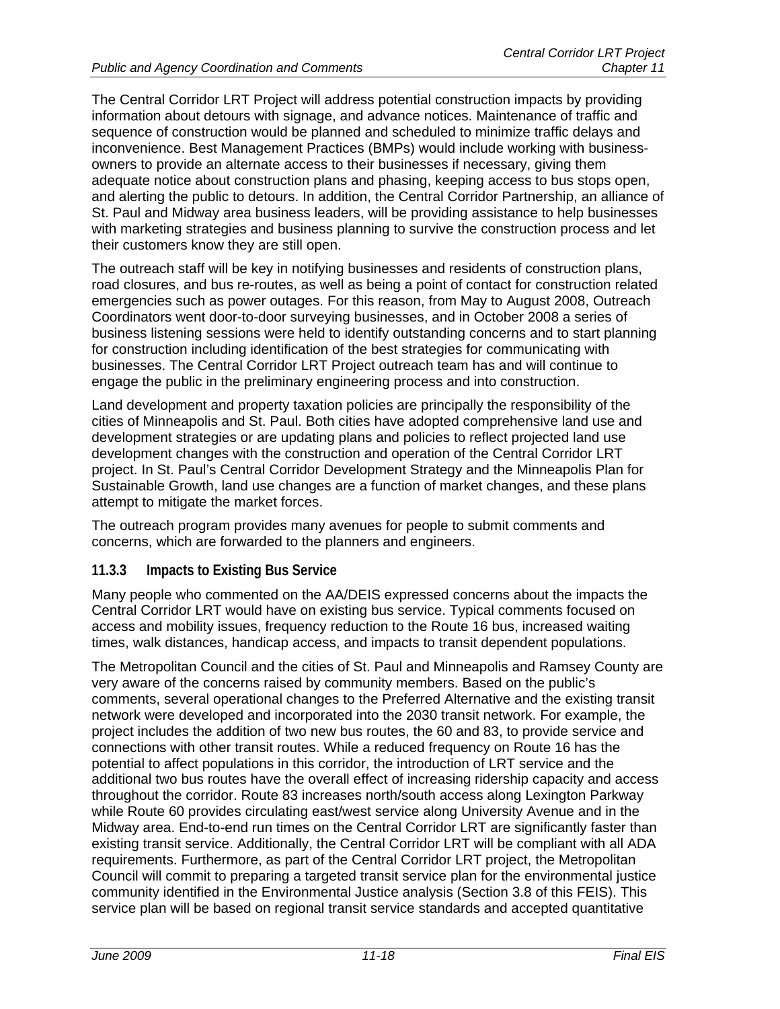The Central Corridor LRT Project will address potential construction impacts by providing information about detours with signage, and advance notices. Maintenance of traffic and sequence of construction would be planned and scheduled to minimize traffic delays and inconvenience. Best Management Practices (BMPs) would include working with businessowners to provide an alternate access to their businesses if necessary, giving them adequate notice about construction plans and phasing, keeping access to bus stops open, and alerting the public to detours. In addition, the Central Corridor Partnership, an alliance of St. Paul and Midway area business leaders, will be providing assistance to help businesses with marketing strategies and business planning to survive the construction process and let their customers know they are still open.

The outreach staff will be key in notifying businesses and residents of construction plans, road closures, and bus re-routes, as well as being a point of contact for construction related emergencies such as power outages. For this reason, from May to August 2008, Outreach Coordinators went door-to-door surveying businesses, and in October 2008 a series of business listening sessions were held to identify outstanding concerns and to start planning for construction including identification of the best strategies for communicating with businesses. The Central Corridor LRT Project outreach team has and will continue to engage the public in the preliminary engineering process and into construction.

Land development and property taxation policies are principally the responsibility of the cities of Minneapolis and St. Paul. Both cities have adopted comprehensive land use and development strategies or are updating plans and policies to reflect projected land use development changes with the construction and operation of the Central Corridor LRT project. In St. Paul's Central Corridor Development Strategy and the Minneapolis Plan for Sustainable Growth, land use changes are a function of market changes, and these plans attempt to mitigate the market forces.

The outreach program provides many avenues for people to submit comments and concerns, which are forwarded to the planners and engineers.

#### **11.3.3 Impacts to Existing Bus Service**

Many people who commented on the AA/DEIS expressed concerns about the impacts the Central Corridor LRT would have on existing bus service. Typical comments focused on access and mobility issues, frequency reduction to the Route 16 bus, increased waiting times, walk distances, handicap access, and impacts to transit dependent populations.

The Metropolitan Council and the cities of St. Paul and Minneapolis and Ramsey County are very aware of the concerns raised by community members. Based on the public's comments, several operational changes to the Preferred Alternative and the existing transit network were developed and incorporated into the 2030 transit network. For example, the project includes the addition of two new bus routes, the 60 and 83, to provide service and connections with other transit routes. While a reduced frequency on Route 16 has the potential to affect populations in this corridor, the introduction of LRT service and the additional two bus routes have the overall effect of increasing ridership capacity and access throughout the corridor. Route 83 increases north/south access along Lexington Parkway while Route 60 provides circulating east/west service along University Avenue and in the Midway area. End-to-end run times on the Central Corridor LRT are significantly faster than existing transit service. Additionally, the Central Corridor LRT will be compliant with all ADA requirements. Furthermore, as part of the Central Corridor LRT project, the Metropolitan Council will commit to preparing a targeted transit service plan for the environmental justice community identified in the Environmental Justice analysis (Section 3.8 of this FEIS). This service plan will be based on regional transit service standards and accepted quantitative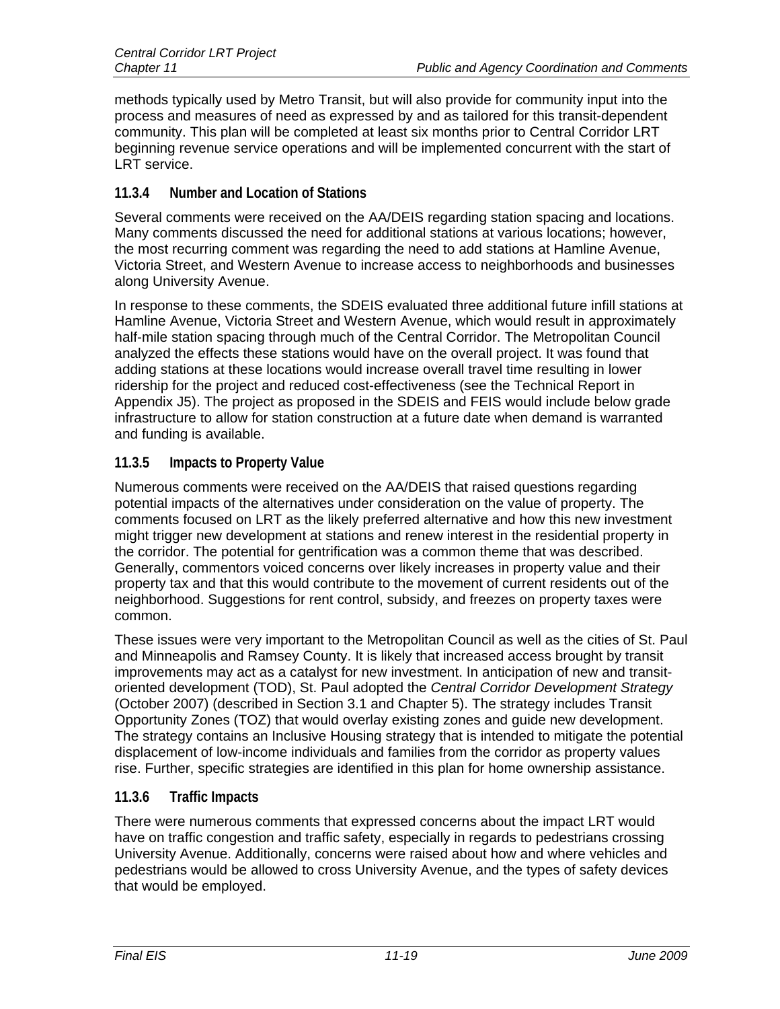methods typically used by Metro Transit, but will also provide for community input into the process and measures of need as expressed by and as tailored for this transit-dependent community. This plan will be completed at least six months prior to Central Corridor LRT beginning revenue service operations and will be implemented concurrent with the start of LRT service.

# **11.3.4 Number and Location of Stations**

Several comments were received on the AA/DEIS regarding station spacing and locations. Many comments discussed the need for additional stations at various locations; however, the most recurring comment was regarding the need to add stations at Hamline Avenue, Victoria Street, and Western Avenue to increase access to neighborhoods and businesses along University Avenue.

In response to these comments, the SDEIS evaluated three additional future infill stations at Hamline Avenue, Victoria Street and Western Avenue, which would result in approximately half-mile station spacing through much of the Central Corridor. The Metropolitan Council analyzed the effects these stations would have on the overall project. It was found that adding stations at these locations would increase overall travel time resulting in lower ridership for the project and reduced cost-effectiveness (see the Technical Report in Appendix J5). The project as proposed in the SDEIS and FEIS would include below grade infrastructure to allow for station construction at a future date when demand is warranted and funding is available.

# **11.3.5 Impacts to Property Value**

Numerous comments were received on the AA/DEIS that raised questions regarding potential impacts of the alternatives under consideration on the value of property. The comments focused on LRT as the likely preferred alternative and how this new investment might trigger new development at stations and renew interest in the residential property in the corridor. The potential for gentrification was a common theme that was described. Generally, commentors voiced concerns over likely increases in property value and their property tax and that this would contribute to the movement of current residents out of the neighborhood. Suggestions for rent control, subsidy, and freezes on property taxes were common.

These issues were very important to the Metropolitan Council as well as the cities of St. Paul and Minneapolis and Ramsey County. It is likely that increased access brought by transit improvements may act as a catalyst for new investment. In anticipation of new and transitoriented development (TOD), St. Paul adopted the *Central Corridor Development Strategy* (October 2007) (described in Section 3.1 and Chapter 5). The strategy includes Transit Opportunity Zones (TOZ) that would overlay existing zones and guide new development. The strategy contains an Inclusive Housing strategy that is intended to mitigate the potential displacement of low-income individuals and families from the corridor as property values rise. Further, specific strategies are identified in this plan for home ownership assistance.

# **11.3.6 Traffic Impacts**

There were numerous comments that expressed concerns about the impact LRT would have on traffic congestion and traffic safety, especially in regards to pedestrians crossing University Avenue. Additionally, concerns were raised about how and where vehicles and pedestrians would be allowed to cross University Avenue, and the types of safety devices that would be employed.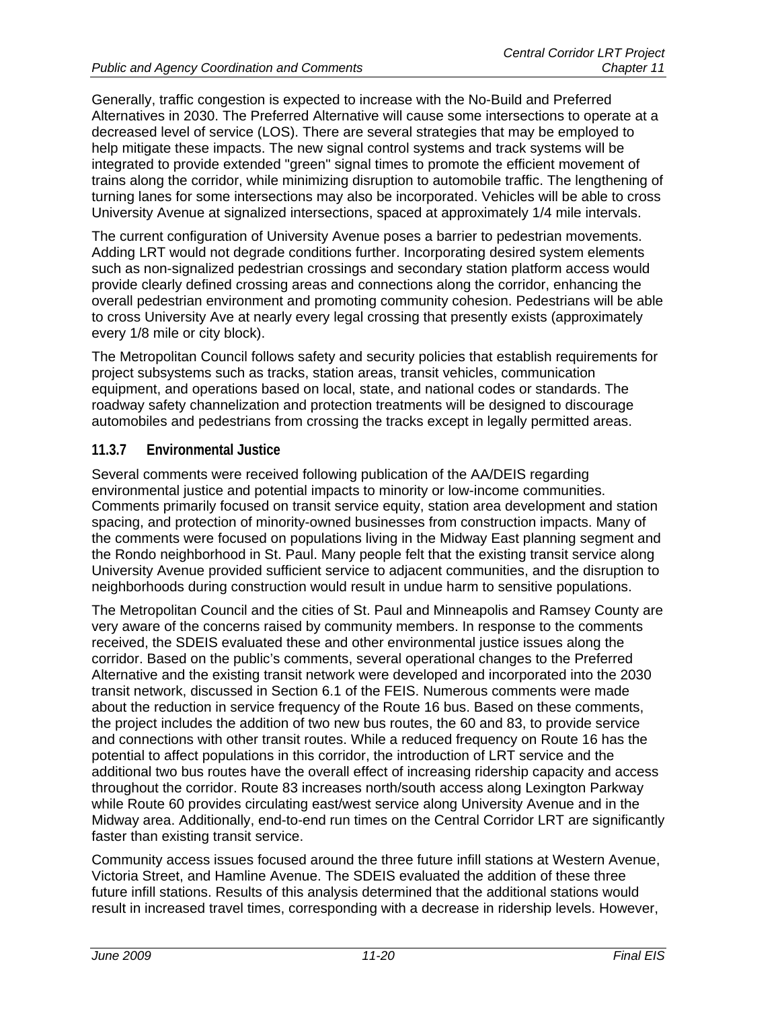Generally, traffic congestion is expected to increase with the No-Build and Preferred Alternatives in 2030. The Preferred Alternative will cause some intersections to operate at a decreased level of service (LOS). There are several strategies that may be employed to help mitigate these impacts. The new signal control systems and track systems will be integrated to provide extended "green" signal times to promote the efficient movement of trains along the corridor, while minimizing disruption to automobile traffic. The lengthening of turning lanes for some intersections may also be incorporated. Vehicles will be able to cross University Avenue at signalized intersections, spaced at approximately 1/4 mile intervals.

The current configuration of University Avenue poses a barrier to pedestrian movements. Adding LRT would not degrade conditions further. Incorporating desired system elements such as non-signalized pedestrian crossings and secondary station platform access would provide clearly defined crossing areas and connections along the corridor, enhancing the overall pedestrian environment and promoting community cohesion. Pedestrians will be able to cross University Ave at nearly every legal crossing that presently exists (approximately every 1/8 mile or city block).

The Metropolitan Council follows safety and security policies that establish requirements for project subsystems such as tracks, station areas, transit vehicles, communication equipment, and operations based on local, state, and national codes or standards. The roadway safety channelization and protection treatments will be designed to discourage automobiles and pedestrians from crossing the tracks except in legally permitted areas.

# **11.3.7 Environmental Justice**

Several comments were received following publication of the AA/DEIS regarding environmental justice and potential impacts to minority or low-income communities. Comments primarily focused on transit service equity, station area development and station spacing, and protection of minority-owned businesses from construction impacts. Many of the comments were focused on populations living in the Midway East planning segment and the Rondo neighborhood in St. Paul. Many people felt that the existing transit service along University Avenue provided sufficient service to adjacent communities, and the disruption to neighborhoods during construction would result in undue harm to sensitive populations.

The Metropolitan Council and the cities of St. Paul and Minneapolis and Ramsey County are very aware of the concerns raised by community members. In response to the comments received, the SDEIS evaluated these and other environmental justice issues along the corridor. Based on the public's comments, several operational changes to the Preferred Alternative and the existing transit network were developed and incorporated into the 2030 transit network, discussed in Section 6.1 of the FEIS. Numerous comments were made about the reduction in service frequency of the Route 16 bus. Based on these comments, the project includes the addition of two new bus routes, the 60 and 83, to provide service and connections with other transit routes. While a reduced frequency on Route 16 has the potential to affect populations in this corridor, the introduction of LRT service and the additional two bus routes have the overall effect of increasing ridership capacity and access throughout the corridor. Route 83 increases north/south access along Lexington Parkway while Route 60 provides circulating east/west service along University Avenue and in the Midway area. Additionally, end-to-end run times on the Central Corridor LRT are significantly faster than existing transit service.

Community access issues focused around the three future infill stations at Western Avenue, Victoria Street, and Hamline Avenue. The SDEIS evaluated the addition of these three future infill stations. Results of this analysis determined that the additional stations would result in increased travel times, corresponding with a decrease in ridership levels. However,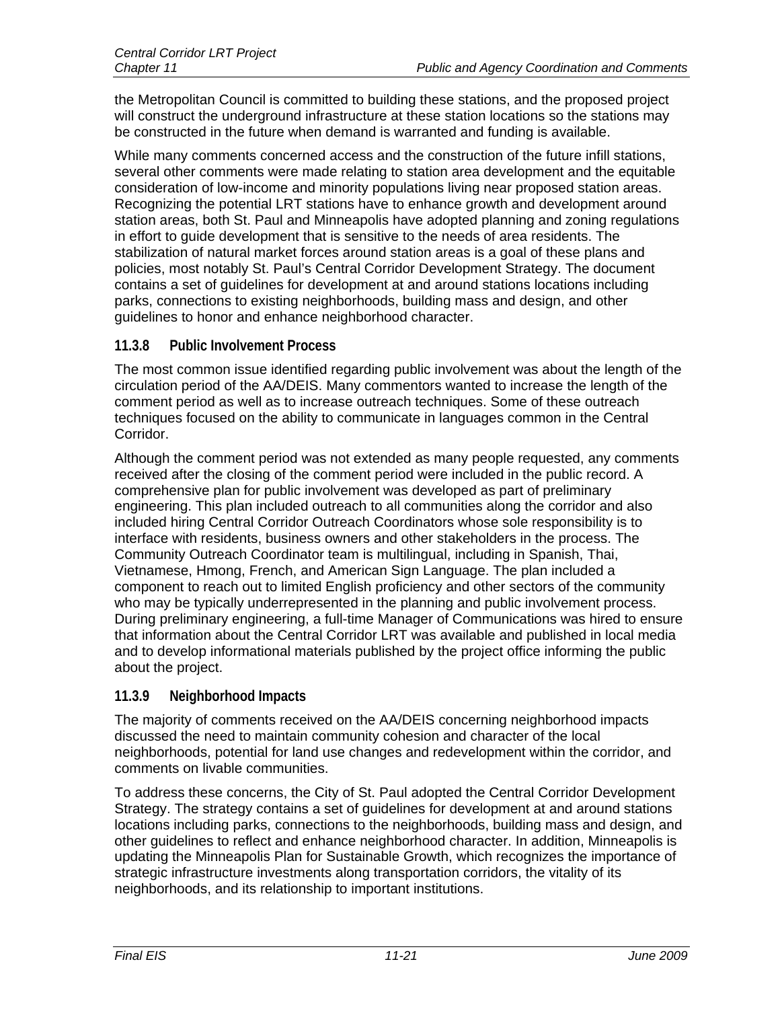the Metropolitan Council is committed to building these stations, and the proposed project will construct the underground infrastructure at these station locations so the stations may be constructed in the future when demand is warranted and funding is available.

While many comments concerned access and the construction of the future infill stations, several other comments were made relating to station area development and the equitable consideration of low-income and minority populations living near proposed station areas. Recognizing the potential LRT stations have to enhance growth and development around station areas, both St. Paul and Minneapolis have adopted planning and zoning regulations in effort to guide development that is sensitive to the needs of area residents. The stabilization of natural market forces around station areas is a goal of these plans and policies, most notably St. Paul's Central Corridor Development Strategy. The document contains a set of guidelines for development at and around stations locations including parks, connections to existing neighborhoods, building mass and design, and other guidelines to honor and enhance neighborhood character.

#### **11.3.8 Public Involvement Process**

The most common issue identified regarding public involvement was about the length of the circulation period of the AA/DEIS. Many commentors wanted to increase the length of the comment period as well as to increase outreach techniques. Some of these outreach techniques focused on the ability to communicate in languages common in the Central Corridor.

Although the comment period was not extended as many people requested, any comments received after the closing of the comment period were included in the public record. A comprehensive plan for public involvement was developed as part of preliminary engineering. This plan included outreach to all communities along the corridor and also included hiring Central Corridor Outreach Coordinators whose sole responsibility is to interface with residents, business owners and other stakeholders in the process. The Community Outreach Coordinator team is multilingual, including in Spanish, Thai, Vietnamese, Hmong, French, and American Sign Language. The plan included a component to reach out to limited English proficiency and other sectors of the community who may be typically underrepresented in the planning and public involvement process. During preliminary engineering, a full-time Manager of Communications was hired to ensure that information about the Central Corridor LRT was available and published in local media and to develop informational materials published by the project office informing the public about the project.

# **11.3.9 Neighborhood Impacts**

The majority of comments received on the AA/DEIS concerning neighborhood impacts discussed the need to maintain community cohesion and character of the local neighborhoods, potential for land use changes and redevelopment within the corridor, and comments on livable communities.

To address these concerns, the City of St. Paul adopted the Central Corridor Development Strategy. The strategy contains a set of guidelines for development at and around stations locations including parks, connections to the neighborhoods, building mass and design, and other guidelines to reflect and enhance neighborhood character. In addition, Minneapolis is updating the Minneapolis Plan for Sustainable Growth, which recognizes the importance of strategic infrastructure investments along transportation corridors, the vitality of its neighborhoods, and its relationship to important institutions.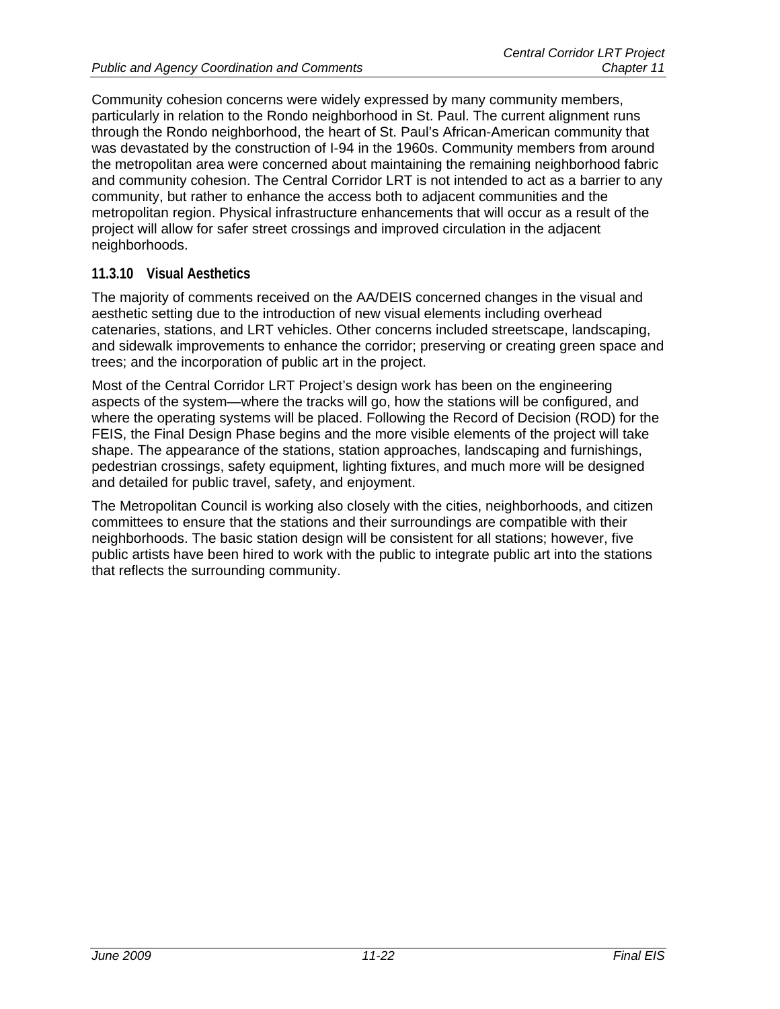Community cohesion concerns were widely expressed by many community members, particularly in relation to the Rondo neighborhood in St. Paul. The current alignment runs through the Rondo neighborhood, the heart of St. Paul's African-American community that was devastated by the construction of I-94 in the 1960s. Community members from around the metropolitan area were concerned about maintaining the remaining neighborhood fabric and community cohesion. The Central Corridor LRT is not intended to act as a barrier to any community, but rather to enhance the access both to adjacent communities and the metropolitan region. Physical infrastructure enhancements that will occur as a result of the project will allow for safer street crossings and improved circulation in the adjacent neighborhoods.

# **11.3.10 Visual Aesthetics**

The majority of comments received on the AA/DEIS concerned changes in the visual and aesthetic setting due to the introduction of new visual elements including overhead catenaries, stations, and LRT vehicles. Other concerns included streetscape, landscaping, and sidewalk improvements to enhance the corridor; preserving or creating green space and trees; and the incorporation of public art in the project.

Most of the Central Corridor LRT Project's design work has been on the engineering aspects of the system—where the tracks will go, how the stations will be configured, and where the operating systems will be placed. Following the Record of Decision (ROD) for the FEIS, the Final Design Phase begins and the more visible elements of the project will take shape. The appearance of the stations, station approaches, landscaping and furnishings, pedestrian crossings, safety equipment, lighting fixtures, and much more will be designed and detailed for public travel, safety, and enjoyment.

The Metropolitan Council is working also closely with the cities, neighborhoods, and citizen committees to ensure that the stations and their surroundings are compatible with their neighborhoods. The basic station design will be consistent for all stations; however, five public artists have been hired to work with the public to integrate public art into the stations that reflects the surrounding community.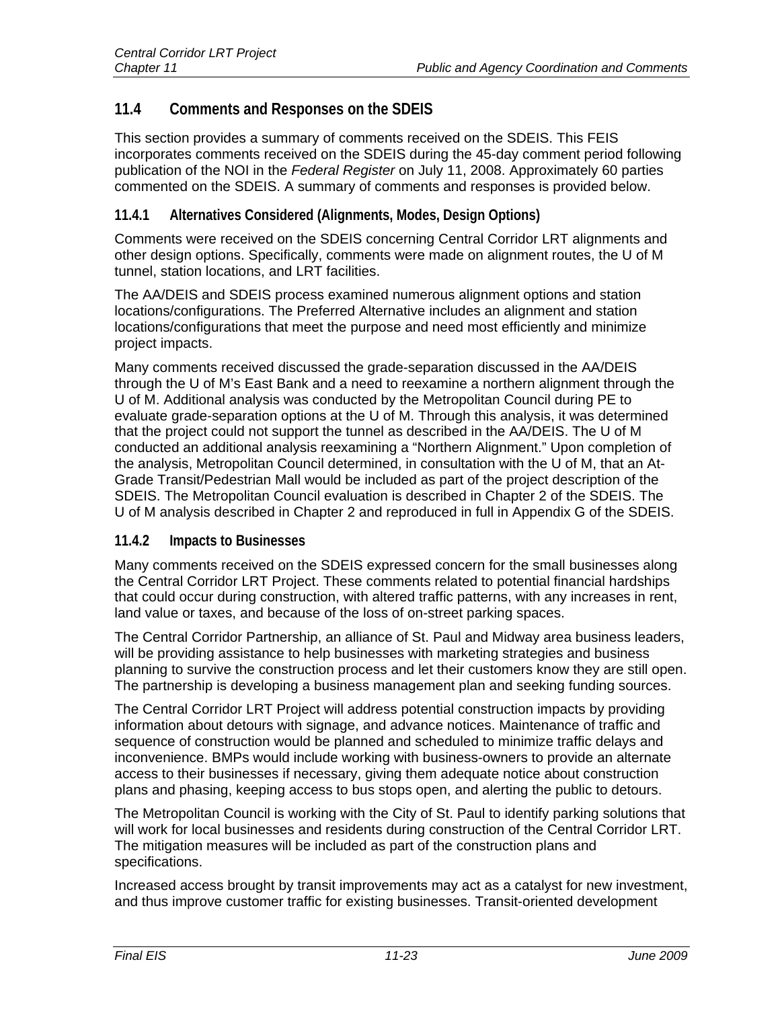# **11.4 Comments and Responses on the SDEIS**

This section provides a summary of comments received on the SDEIS. This FEIS incorporates comments received on the SDEIS during the 45-day comment period following publication of the NOI in the *Federal Register* on July 11, 2008. Approximately 60 parties commented on the SDEIS. A summary of comments and responses is provided below.

# **11.4.1 Alternatives Considered (Alignments, Modes, Design Options)**

Comments were received on the SDEIS concerning Central Corridor LRT alignments and other design options. Specifically, comments were made on alignment routes, the U of M tunnel, station locations, and LRT facilities.

The AA/DEIS and SDEIS process examined numerous alignment options and station locations/configurations. The Preferred Alternative includes an alignment and station locations/configurations that meet the purpose and need most efficiently and minimize project impacts.

Many comments received discussed the grade-separation discussed in the AA/DEIS through the U of M's East Bank and a need to reexamine a northern alignment through the U of M. Additional analysis was conducted by the Metropolitan Council during PE to evaluate grade-separation options at the U of M. Through this analysis, it was determined that the project could not support the tunnel as described in the AA/DEIS. The U of M conducted an additional analysis reexamining a "Northern Alignment." Upon completion of the analysis, Metropolitan Council determined, in consultation with the U of M, that an At-Grade Transit/Pedestrian Mall would be included as part of the project description of the SDEIS. The Metropolitan Council evaluation is described in Chapter 2 of the SDEIS. The U of M analysis described in Chapter 2 and reproduced in full in Appendix G of the SDEIS.

# **11.4.2 Impacts to Businesses**

Many comments received on the SDEIS expressed concern for the small businesses along the Central Corridor LRT Project. These comments related to potential financial hardships that could occur during construction, with altered traffic patterns, with any increases in rent, land value or taxes, and because of the loss of on-street parking spaces.

The Central Corridor Partnership, an alliance of St. Paul and Midway area business leaders, will be providing assistance to help businesses with marketing strategies and business planning to survive the construction process and let their customers know they are still open. The partnership is developing a business management plan and seeking funding sources.

The Central Corridor LRT Project will address potential construction impacts by providing information about detours with signage, and advance notices. Maintenance of traffic and sequence of construction would be planned and scheduled to minimize traffic delays and inconvenience. BMPs would include working with business-owners to provide an alternate access to their businesses if necessary, giving them adequate notice about construction plans and phasing, keeping access to bus stops open, and alerting the public to detours.

The Metropolitan Council is working with the City of St. Paul to identify parking solutions that will work for local businesses and residents during construction of the Central Corridor LRT. The mitigation measures will be included as part of the construction plans and specifications.

Increased access brought by transit improvements may act as a catalyst for new investment, and thus improve customer traffic for existing businesses. Transit-oriented development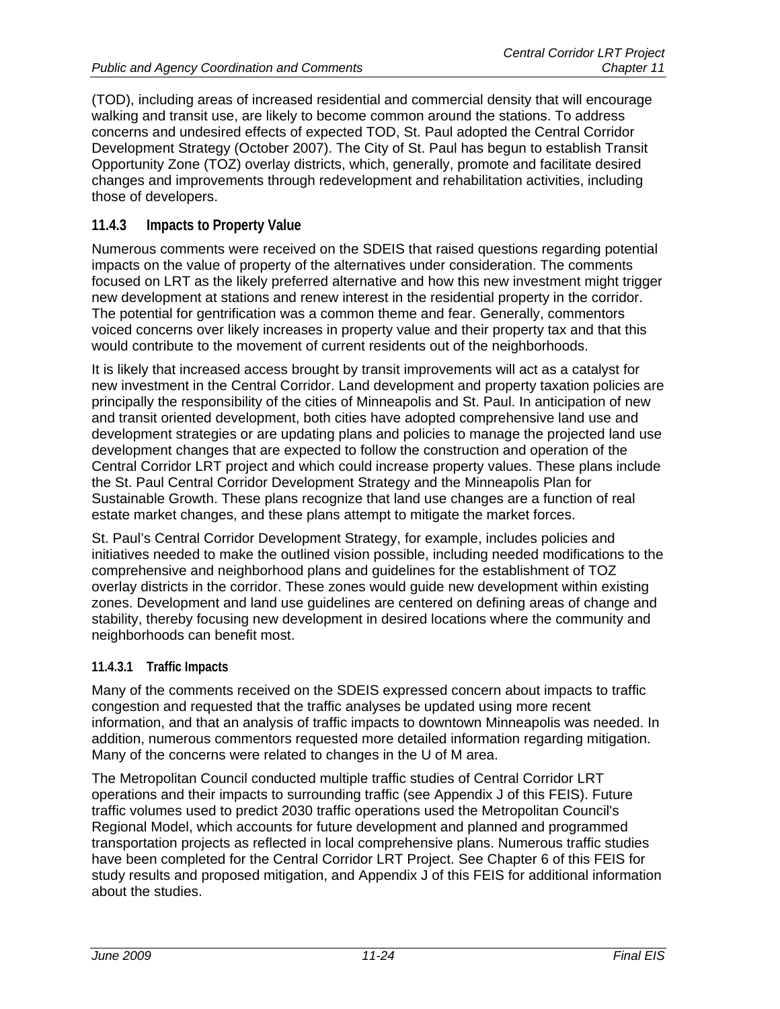(TOD), including areas of increased residential and commercial density that will encourage walking and transit use, are likely to become common around the stations. To address concerns and undesired effects of expected TOD, St. Paul adopted the Central Corridor Development Strategy (October 2007). The City of St. Paul has begun to establish Transit Opportunity Zone (TOZ) overlay districts, which, generally, promote and facilitate desired changes and improvements through redevelopment and rehabilitation activities, including those of developers.

# **11.4.3 Impacts to Property Value**

Numerous comments were received on the SDEIS that raised questions regarding potential impacts on the value of property of the alternatives under consideration. The comments focused on LRT as the likely preferred alternative and how this new investment might trigger new development at stations and renew interest in the residential property in the corridor. The potential for gentrification was a common theme and fear. Generally, commentors voiced concerns over likely increases in property value and their property tax and that this would contribute to the movement of current residents out of the neighborhoods.

It is likely that increased access brought by transit improvements will act as a catalyst for new investment in the Central Corridor. Land development and property taxation policies are principally the responsibility of the cities of Minneapolis and St. Paul. In anticipation of new and transit oriented development, both cities have adopted comprehensive land use and development strategies or are updating plans and policies to manage the projected land use development changes that are expected to follow the construction and operation of the Central Corridor LRT project and which could increase property values. These plans include the St. Paul Central Corridor Development Strategy and the Minneapolis Plan for Sustainable Growth. These plans recognize that land use changes are a function of real estate market changes, and these plans attempt to mitigate the market forces.

St. Paul's Central Corridor Development Strategy, for example, includes policies and initiatives needed to make the outlined vision possible, including needed modifications to the comprehensive and neighborhood plans and guidelines for the establishment of TOZ overlay districts in the corridor. These zones would guide new development within existing zones. Development and land use guidelines are centered on defining areas of change and stability, thereby focusing new development in desired locations where the community and neighborhoods can benefit most.

#### **11.4.3.1 Traffic Impacts**

Many of the comments received on the SDEIS expressed concern about impacts to traffic congestion and requested that the traffic analyses be updated using more recent information, and that an analysis of traffic impacts to downtown Minneapolis was needed. In addition, numerous commentors requested more detailed information regarding mitigation. Many of the concerns were related to changes in the U of M area.

The Metropolitan Council conducted multiple traffic studies of Central Corridor LRT operations and their impacts to surrounding traffic (see Appendix J of this FEIS). Future traffic volumes used to predict 2030 traffic operations used the Metropolitan Council's Regional Model, which accounts for future development and planned and programmed transportation projects as reflected in local comprehensive plans. Numerous traffic studies have been completed for the Central Corridor LRT Project. See Chapter 6 of this FEIS for study results and proposed mitigation, and Appendix J of this FEIS for additional information about the studies.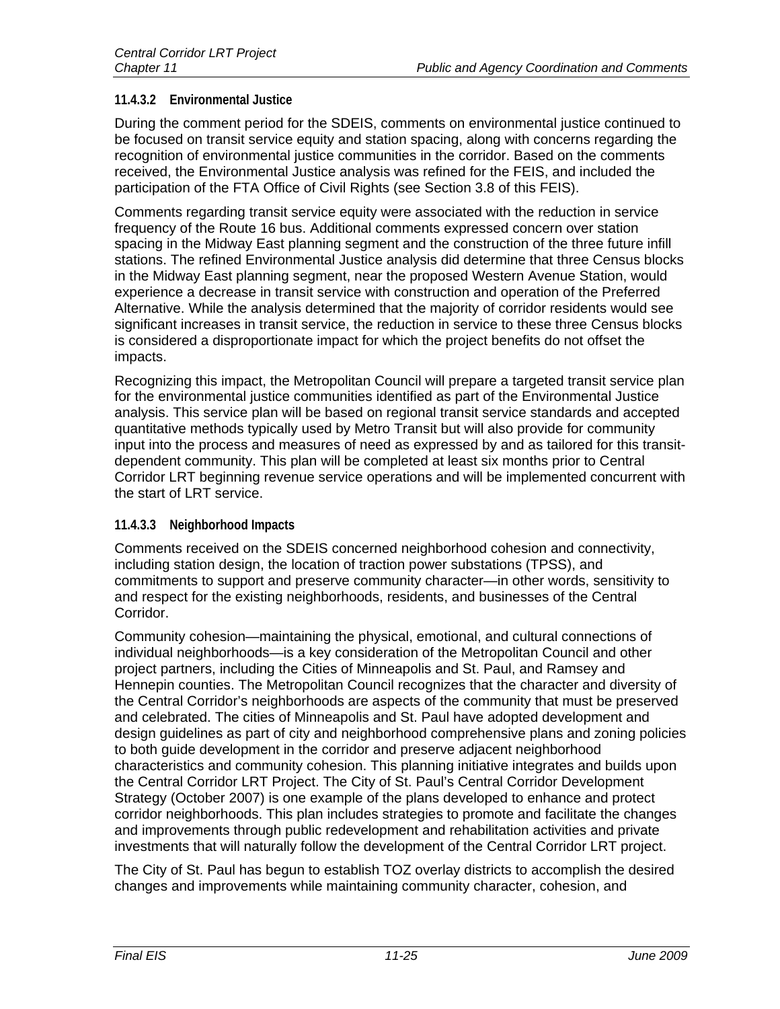# **11.4.3.2 Environmental Justice**

During the comment period for the SDEIS, comments on environmental justice continued to be focused on transit service equity and station spacing, along with concerns regarding the recognition of environmental justice communities in the corridor. Based on the comments received, the Environmental Justice analysis was refined for the FEIS, and included the participation of the FTA Office of Civil Rights (see Section 3.8 of this FEIS).

Comments regarding transit service equity were associated with the reduction in service frequency of the Route 16 bus. Additional comments expressed concern over station spacing in the Midway East planning segment and the construction of the three future infill stations. The refined Environmental Justice analysis did determine that three Census blocks in the Midway East planning segment, near the proposed Western Avenue Station, would experience a decrease in transit service with construction and operation of the Preferred Alternative. While the analysis determined that the majority of corridor residents would see significant increases in transit service, the reduction in service to these three Census blocks is considered a disproportionate impact for which the project benefits do not offset the impacts.

Recognizing this impact, the Metropolitan Council will prepare a targeted transit service plan for the environmental justice communities identified as part of the Environmental Justice analysis. This service plan will be based on regional transit service standards and accepted quantitative methods typically used by Metro Transit but will also provide for community input into the process and measures of need as expressed by and as tailored for this transitdependent community. This plan will be completed at least six months prior to Central Corridor LRT beginning revenue service operations and will be implemented concurrent with the start of LRT service.

# **11.4.3.3 Neighborhood Impacts**

Comments received on the SDEIS concerned neighborhood cohesion and connectivity, including station design, the location of traction power substations (TPSS), and commitments to support and preserve community character—in other words, sensitivity to and respect for the existing neighborhoods, residents, and businesses of the Central Corridor.

Community cohesion—maintaining the physical, emotional, and cultural connections of individual neighborhoods—is a key consideration of the Metropolitan Council and other project partners, including the Cities of Minneapolis and St. Paul, and Ramsey and Hennepin counties. The Metropolitan Council recognizes that the character and diversity of the Central Corridor's neighborhoods are aspects of the community that must be preserved and celebrated. The cities of Minneapolis and St. Paul have adopted development and design guidelines as part of city and neighborhood comprehensive plans and zoning policies to both guide development in the corridor and preserve adjacent neighborhood characteristics and community cohesion. This planning initiative integrates and builds upon the Central Corridor LRT Project. The City of St. Paul's Central Corridor Development Strategy (October 2007) is one example of the plans developed to enhance and protect corridor neighborhoods. This plan includes strategies to promote and facilitate the changes and improvements through public redevelopment and rehabilitation activities and private investments that will naturally follow the development of the Central Corridor LRT project.

The City of St. Paul has begun to establish TOZ overlay districts to accomplish the desired changes and improvements while maintaining community character, cohesion, and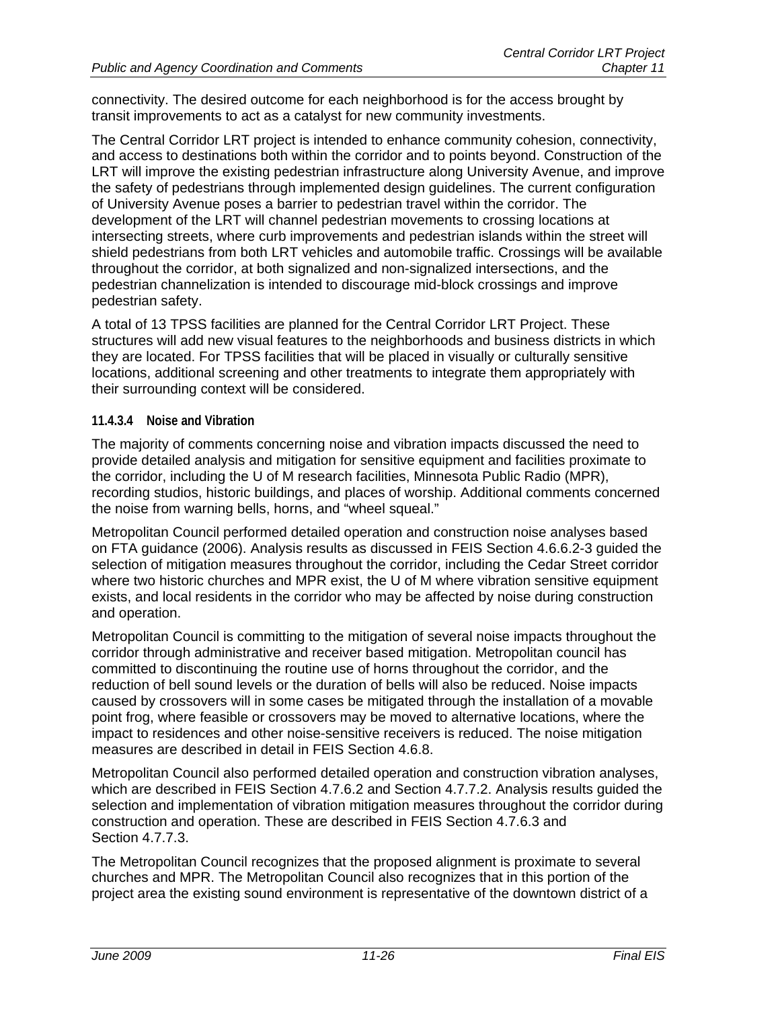connectivity. The desired outcome for each neighborhood is for the access brought by transit improvements to act as a catalyst for new community investments.

The Central Corridor LRT project is intended to enhance community cohesion, connectivity, and access to destinations both within the corridor and to points beyond. Construction of the LRT will improve the existing pedestrian infrastructure along University Avenue, and improve the safety of pedestrians through implemented design guidelines. The current configuration of University Avenue poses a barrier to pedestrian travel within the corridor. The development of the LRT will channel pedestrian movements to crossing locations at intersecting streets, where curb improvements and pedestrian islands within the street will shield pedestrians from both LRT vehicles and automobile traffic. Crossings will be available throughout the corridor, at both signalized and non-signalized intersections, and the pedestrian channelization is intended to discourage mid-block crossings and improve pedestrian safety.

A total of 13 TPSS facilities are planned for the Central Corridor LRT Project. These structures will add new visual features to the neighborhoods and business districts in which they are located. For TPSS facilities that will be placed in visually or culturally sensitive locations, additional screening and other treatments to integrate them appropriately with their surrounding context will be considered.

#### **11.4.3.4 Noise and Vibration**

The majority of comments concerning noise and vibration impacts discussed the need to provide detailed analysis and mitigation for sensitive equipment and facilities proximate to the corridor, including the U of M research facilities, Minnesota Public Radio (MPR), recording studios, historic buildings, and places of worship. Additional comments concerned the noise from warning bells, horns, and "wheel squeal."

Metropolitan Council performed detailed operation and construction noise analyses based on FTA guidance (2006). Analysis results as discussed in FEIS Section 4.6.6.2-3 guided the selection of mitigation measures throughout the corridor, including the Cedar Street corridor where two historic churches and MPR exist, the U of M where vibration sensitive equipment exists, and local residents in the corridor who may be affected by noise during construction and operation.

Metropolitan Council is committing to the mitigation of several noise impacts throughout the corridor through administrative and receiver based mitigation. Metropolitan council has committed to discontinuing the routine use of horns throughout the corridor, and the reduction of bell sound levels or the duration of bells will also be reduced. Noise impacts caused by crossovers will in some cases be mitigated through the installation of a movable point frog, where feasible or crossovers may be moved to alternative locations, where the impact to residences and other noise-sensitive receivers is reduced. The noise mitigation measures are described in detail in FEIS Section 4.6.8.

Metropolitan Council also performed detailed operation and construction vibration analyses, which are described in FEIS Section 4.7.6.2 and Section 4.7.7.2. Analysis results guided the selection and implementation of vibration mitigation measures throughout the corridor during construction and operation. These are described in FEIS Section 4.7.6.3 and Section 4.7.7.3.

The Metropolitan Council recognizes that the proposed alignment is proximate to several churches and MPR. The Metropolitan Council also recognizes that in this portion of the project area the existing sound environment is representative of the downtown district of a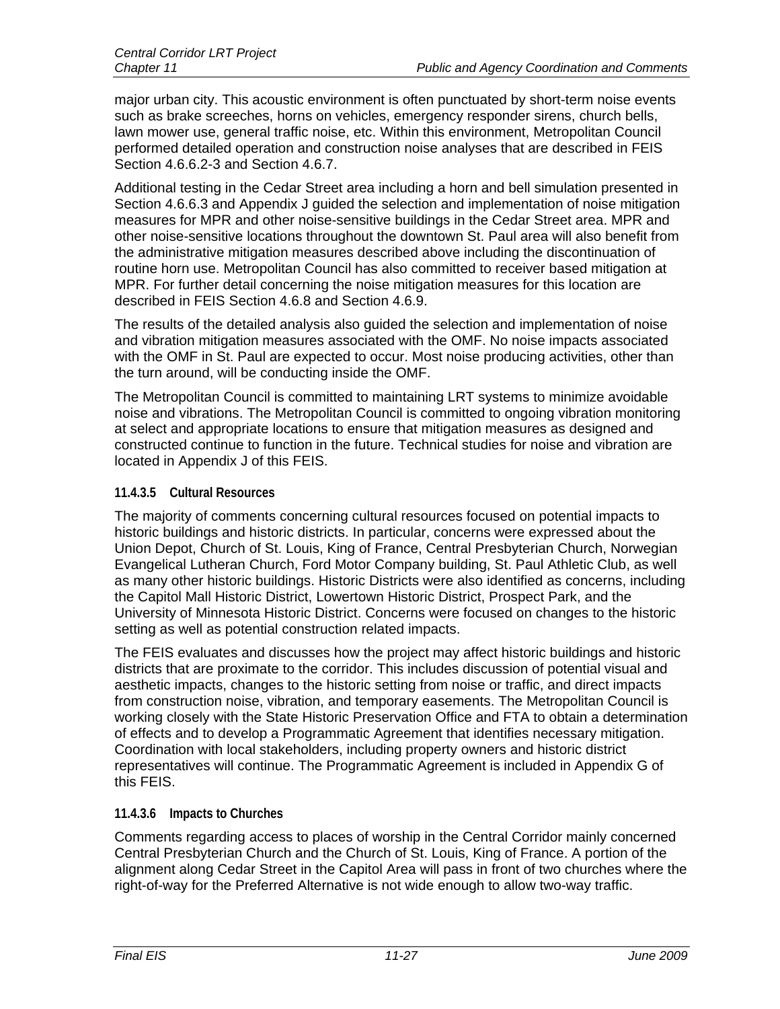major urban city. This acoustic environment is often punctuated by short-term noise events such as brake screeches, horns on vehicles, emergency responder sirens, church bells, lawn mower use, general traffic noise, etc. Within this environment, Metropolitan Council performed detailed operation and construction noise analyses that are described in FEIS Section 4.6.6.2-3 and Section 4.6.7.

Additional testing in the Cedar Street area including a horn and bell simulation presented in Section 4.6.6.3 and Appendix J guided the selection and implementation of noise mitigation measures for MPR and other noise-sensitive buildings in the Cedar Street area. MPR and other noise-sensitive locations throughout the downtown St. Paul area will also benefit from the administrative mitigation measures described above including the discontinuation of routine horn use. Metropolitan Council has also committed to receiver based mitigation at MPR. For further detail concerning the noise mitigation measures for this location are described in FEIS Section 4.6.8 and Section 4.6.9.

The results of the detailed analysis also guided the selection and implementation of noise and vibration mitigation measures associated with the OMF. No noise impacts associated with the OMF in St. Paul are expected to occur. Most noise producing activities, other than the turn around, will be conducting inside the OMF.

The Metropolitan Council is committed to maintaining LRT systems to minimize avoidable noise and vibrations. The Metropolitan Council is committed to ongoing vibration monitoring at select and appropriate locations to ensure that mitigation measures as designed and constructed continue to function in the future. Technical studies for noise and vibration are located in Appendix J of this FEIS.

#### **11.4.3.5 Cultural Resources**

The majority of comments concerning cultural resources focused on potential impacts to historic buildings and historic districts. In particular, concerns were expressed about the Union Depot, Church of St. Louis, King of France, Central Presbyterian Church, Norwegian Evangelical Lutheran Church, Ford Motor Company building, St. Paul Athletic Club, as well as many other historic buildings. Historic Districts were also identified as concerns, including the Capitol Mall Historic District, Lowertown Historic District, Prospect Park, and the University of Minnesota Historic District. Concerns were focused on changes to the historic setting as well as potential construction related impacts.

The FEIS evaluates and discusses how the project may affect historic buildings and historic districts that are proximate to the corridor. This includes discussion of potential visual and aesthetic impacts, changes to the historic setting from noise or traffic, and direct impacts from construction noise, vibration, and temporary easements. The Metropolitan Council is working closely with the State Historic Preservation Office and FTA to obtain a determination of effects and to develop a Programmatic Agreement that identifies necessary mitigation. Coordination with local stakeholders, including property owners and historic district representatives will continue. The Programmatic Agreement is included in Appendix G of this FEIS.

#### **11.4.3.6 Impacts to Churches**

Comments regarding access to places of worship in the Central Corridor mainly concerned Central Presbyterian Church and the Church of St. Louis, King of France. A portion of the alignment along Cedar Street in the Capitol Area will pass in front of two churches where the right-of-way for the Preferred Alternative is not wide enough to allow two-way traffic.